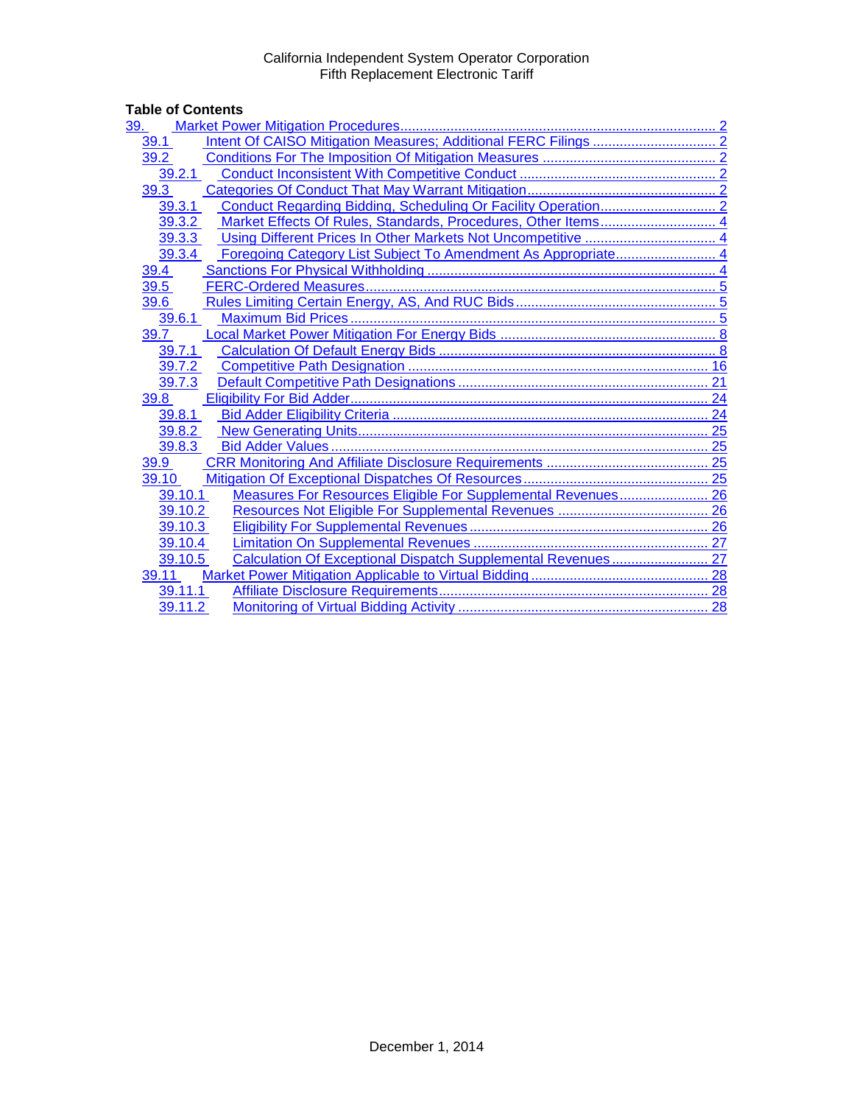# Table of Contents<br>
<u>39. Market Pow</u>

| 39.     |                                                              |  |
|---------|--------------------------------------------------------------|--|
| 39.1    |                                                              |  |
| 39.2    |                                                              |  |
| 39.2.1  |                                                              |  |
| 39.3    |                                                              |  |
| 39.3.1  |                                                              |  |
| 39.3.2  |                                                              |  |
| 39.3.3  |                                                              |  |
| 39.3.4  |                                                              |  |
| 39.4    |                                                              |  |
| 39.5    |                                                              |  |
| 39.6    |                                                              |  |
| 39.6.1  |                                                              |  |
| 39.7    |                                                              |  |
| 39.7.1  |                                                              |  |
| 39.7.2  |                                                              |  |
| 39.7.3  |                                                              |  |
| 39.8    |                                                              |  |
| 39.8.1  |                                                              |  |
| 39.8.2  |                                                              |  |
| 39.8.3  |                                                              |  |
| 39.9    |                                                              |  |
| 39.10   |                                                              |  |
| 39.10.1 | Measures For Resources Eligible For Supplemental Revenues 26 |  |
| 39.10.2 |                                                              |  |
| 39.10.3 |                                                              |  |
| 39.10.4 |                                                              |  |
| 39.10.5 | Calculation Of Exceptional Dispatch Supplemental Revenues 27 |  |
| 39.11   |                                                              |  |
| 39.11.1 |                                                              |  |
| 39.11.2 |                                                              |  |
|         |                                                              |  |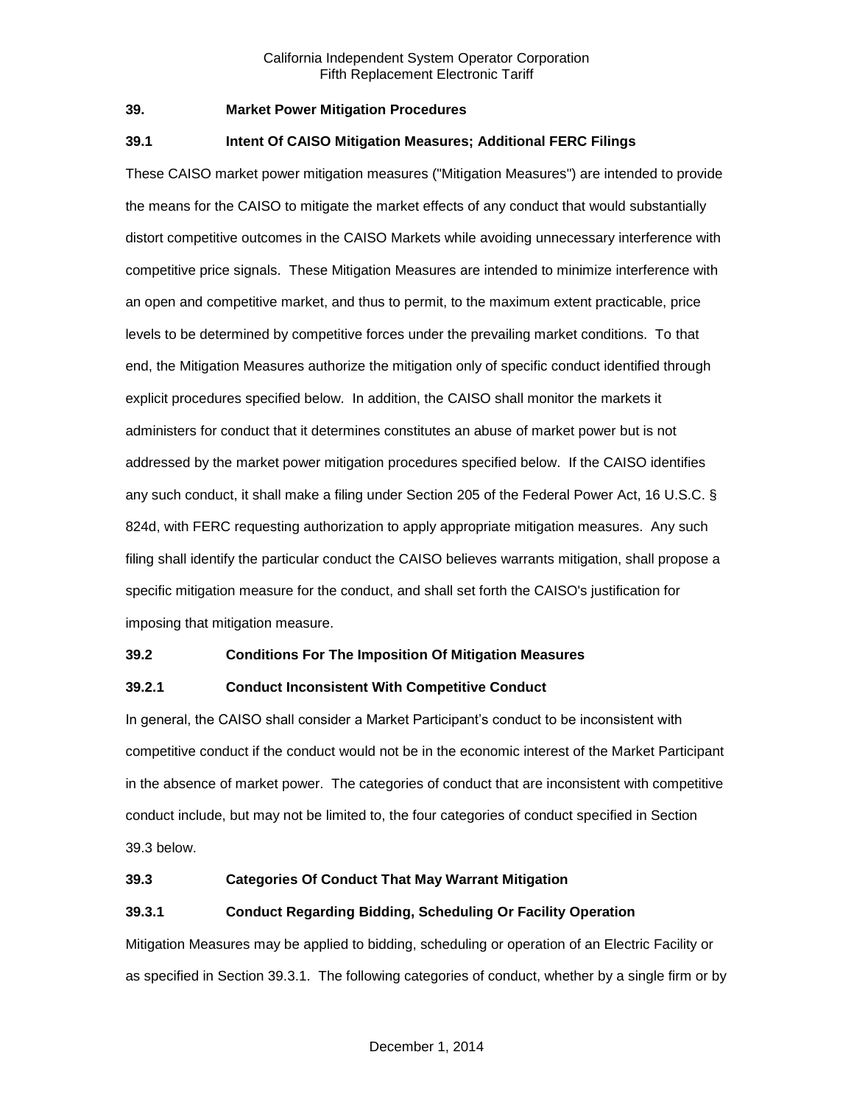#### <span id="page-1-0"></span>**39. Market Power Mitigation Procedures**

# <span id="page-1-1"></span>**39.1 Intent Of CAISO Mitigation Measures; Additional FERC Filings**

These CAISO market power mitigation measures ("Mitigation Measures") are intended to provide the means for the CAISO to mitigate the market effects of any conduct that would substantially distort competitive outcomes in the CAISO Markets while avoiding unnecessary interference with competitive price signals. These Mitigation Measures are intended to minimize interference with an open and competitive market, and thus to permit, to the maximum extent practicable, price levels to be determined by competitive forces under the prevailing market conditions. To that end, the Mitigation Measures authorize the mitigation only of specific conduct identified through explicit procedures specified below. In addition, the CAISO shall monitor the markets it administers for conduct that it determines constitutes an abuse of market power but is not addressed by the market power mitigation procedures specified below. If the CAISO identifies any such conduct, it shall make a filing under Section 205 of the Federal Power Act, 16 U.S.C. § 824d, with FERC requesting authorization to apply appropriate mitigation measures. Any such filing shall identify the particular conduct the CAISO believes warrants mitigation, shall propose a specific mitigation measure for the conduct, and shall set forth the CAISO's justification for imposing that mitigation measure.

# <span id="page-1-2"></span>**39.2 Conditions For The Imposition Of Mitigation Measures**

# <span id="page-1-3"></span>**39.2.1 Conduct Inconsistent With Competitive Conduct**

In general, the CAISO shall consider a Market Participant's conduct to be inconsistent with competitive conduct if the conduct would not be in the economic interest of the Market Participant in the absence of market power. The categories of conduct that are inconsistent with competitive conduct include, but may not be limited to, the four categories of conduct specified in Section 39.3 below.

# <span id="page-1-4"></span>**39.3 Categories Of Conduct That May Warrant Mitigation**

# <span id="page-1-5"></span>**39.3.1 Conduct Regarding Bidding, Scheduling Or Facility Operation**

Mitigation Measures may be applied to bidding, scheduling or operation of an Electric Facility or as specified in Section 39.3.1. The following categories of conduct, whether by a single firm or by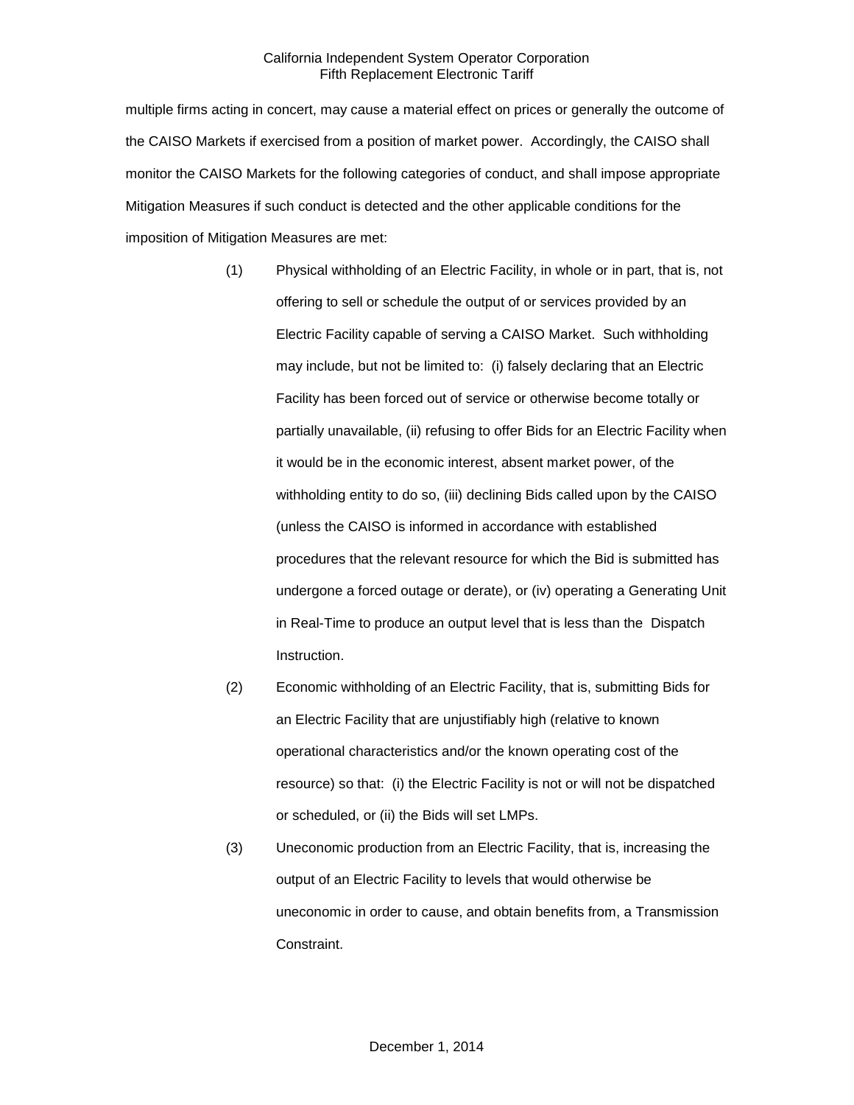multiple firms acting in concert, may cause a material effect on prices or generally the outcome of the CAISO Markets if exercised from a position of market power. Accordingly, the CAISO shall monitor the CAISO Markets for the following categories of conduct, and shall impose appropriate Mitigation Measures if such conduct is detected and the other applicable conditions for the imposition of Mitigation Measures are met:

- (1) Physical withholding of an Electric Facility, in whole or in part, that is, not offering to sell or schedule the output of or services provided by an Electric Facility capable of serving a CAISO Market. Such withholding may include, but not be limited to: (i) falsely declaring that an Electric Facility has been forced out of service or otherwise become totally or partially unavailable, (ii) refusing to offer Bids for an Electric Facility when it would be in the economic interest, absent market power, of the withholding entity to do so, (iii) declining Bids called upon by the CAISO (unless the CAISO is informed in accordance with established procedures that the relevant resource for which the Bid is submitted has undergone a forced outage or derate), or (iv) operating a Generating Unit in Real-Time to produce an output level that is less than the Dispatch Instruction.
- (2) Economic withholding of an Electric Facility, that is, submitting Bids for an Electric Facility that are unjustifiably high (relative to known operational characteristics and/or the known operating cost of the resource) so that: (i) the Electric Facility is not or will not be dispatched or scheduled, or (ii) the Bids will set LMPs.
- (3) Uneconomic production from an Electric Facility, that is, increasing the output of an Electric Facility to levels that would otherwise be uneconomic in order to cause, and obtain benefits from, a Transmission Constraint.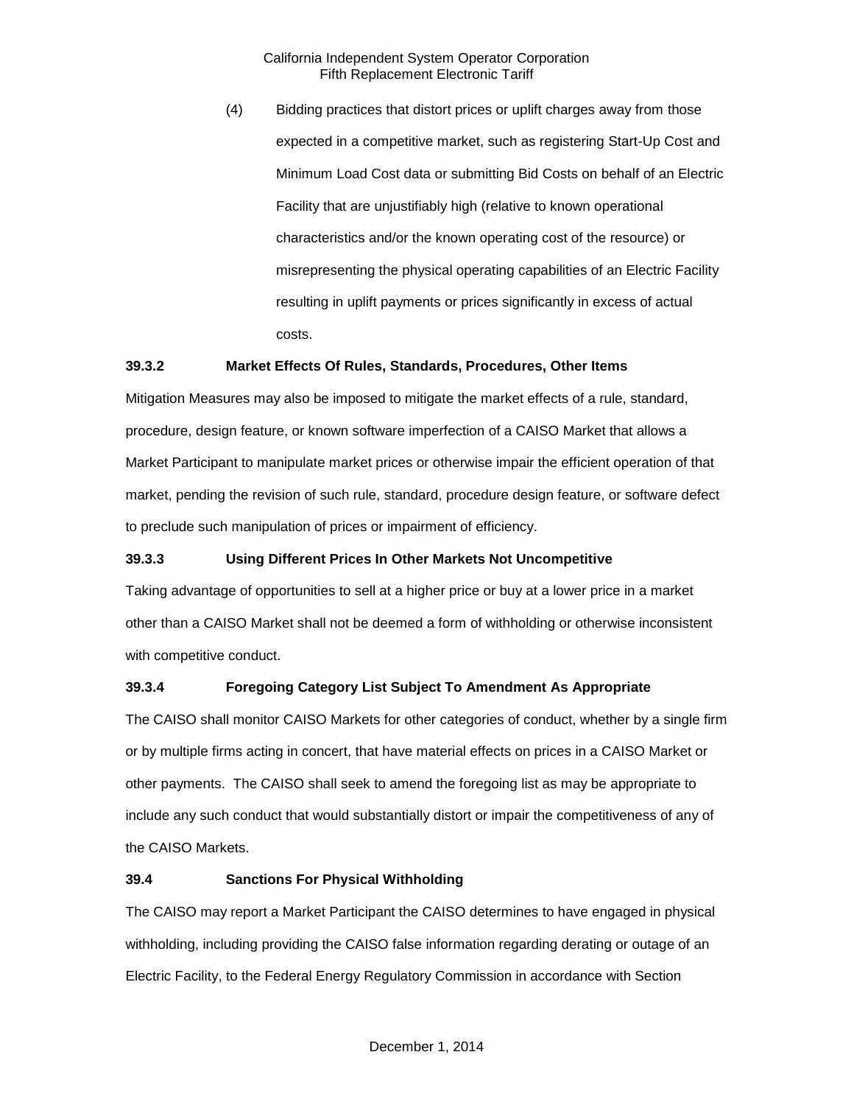(4) Bidding practices that distort prices or uplift charges away from those expected in a competitive market, such as registering Start-Up Cost and Minimum Load Cost data or submitting Bid Costs on behalf of an Electric Facility that are unjustifiably high (relative to known operational characteristics and/or the known operating cost of the resource) or misrepresenting the physical operating capabilities of an Electric Facility resulting in uplift payments or prices significantly in excess of actual costs.

# <span id="page-3-0"></span>**39.3.2 Market Effects Of Rules, Standards, Procedures, Other Items**

Mitigation Measures may also be imposed to mitigate the market effects of a rule, standard, procedure, design feature, or known software imperfection of a CAISO Market that allows a Market Participant to manipulate market prices or otherwise impair the efficient operation of that market, pending the revision of such rule, standard, procedure design feature, or software defect to preclude such manipulation of prices or impairment of efficiency.

# <span id="page-3-1"></span>**39.3.3 Using Different Prices In Other Markets Not Uncompetitive**

Taking advantage of opportunities to sell at a higher price or buy at a lower price in a market other than a CAISO Market shall not be deemed a form of withholding or otherwise inconsistent with competitive conduct.

# <span id="page-3-2"></span>**39.3.4 Foregoing Category List Subject To Amendment As Appropriate**

The CAISO shall monitor CAISO Markets for other categories of conduct, whether by a single firm or by multiple firms acting in concert, that have material effects on prices in a CAISO Market or other payments. The CAISO shall seek to amend the foregoing list as may be appropriate to include any such conduct that would substantially distort or impair the competitiveness of any of the CAISO Markets.

# <span id="page-3-3"></span>**39.4 Sanctions For Physical Withholding**

The CAISO may report a Market Participant the CAISO determines to have engaged in physical withholding, including providing the CAISO false information regarding derating or outage of an Electric Facility, to the Federal Energy Regulatory Commission in accordance with Section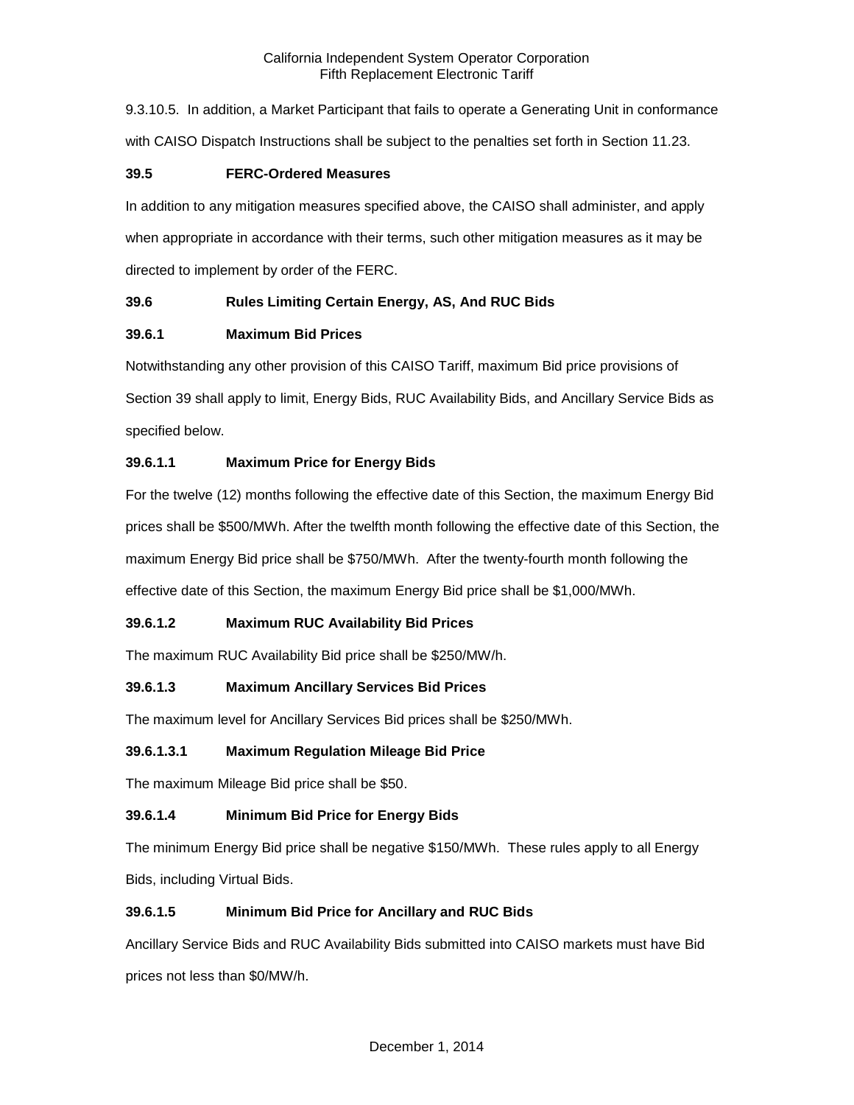9.3.10.5. In addition, a Market Participant that fails to operate a Generating Unit in conformance with CAISO Dispatch Instructions shall be subject to the penalties set forth in Section 11.23.

# <span id="page-4-0"></span>**39.5 FERC-Ordered Measures**

In addition to any mitigation measures specified above, the CAISO shall administer, and apply when appropriate in accordance with their terms, such other mitigation measures as it may be directed to implement by order of the FERC.

# <span id="page-4-1"></span>**39.6 Rules Limiting Certain Energy, AS, And RUC Bids**

# <span id="page-4-2"></span>**39.6.1 Maximum Bid Prices**

Notwithstanding any other provision of this CAISO Tariff, maximum Bid price provisions of Section 39 shall apply to limit, Energy Bids, RUC Availability Bids, and Ancillary Service Bids as specified below.

# **39.6.1.1 Maximum Price for Energy Bids**

For the twelve (12) months following the effective date of this Section, the maximum Energy Bid prices shall be \$500/MWh. After the twelfth month following the effective date of this Section, the maximum Energy Bid price shall be \$750/MWh. After the twenty-fourth month following the effective date of this Section, the maximum Energy Bid price shall be \$1,000/MWh.

# **39.6.1.2 Maximum RUC Availability Bid Prices**

The maximum RUC Availability Bid price shall be \$250/MW/h.

# **39.6.1.3 Maximum Ancillary Services Bid Prices**

The maximum level for Ancillary Services Bid prices shall be \$250/MWh.

# **39.6.1.3.1 Maximum Regulation Mileage Bid Price**

The maximum Mileage Bid price shall be \$50.

# **39.6.1.4 Minimum Bid Price for Energy Bids**

The minimum Energy Bid price shall be negative \$150/MWh. These rules apply to all Energy Bids, including Virtual Bids.

# **39.6.1.5 Minimum Bid Price for Ancillary and RUC Bids**

Ancillary Service Bids and RUC Availability Bids submitted into CAISO markets must have Bid prices not less than \$0/MW/h.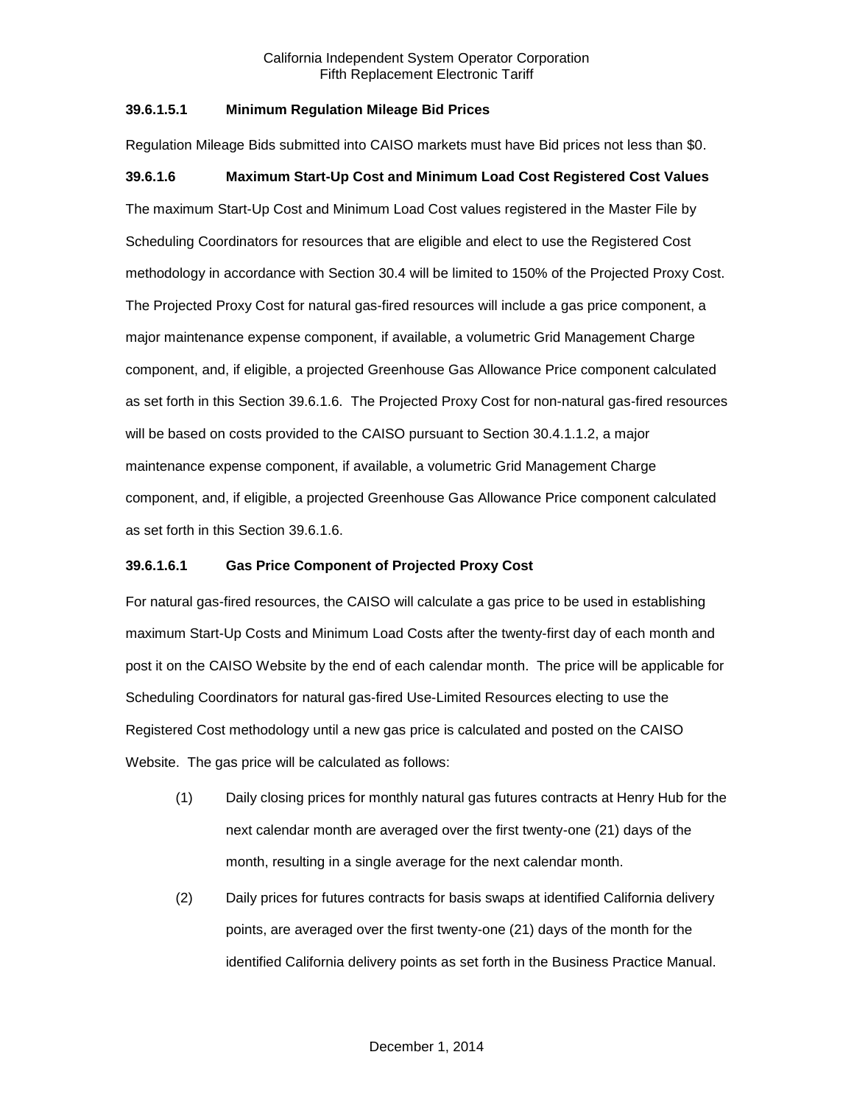# **39.6.1.5.1 Minimum Regulation Mileage Bid Prices**

Regulation Mileage Bids submitted into CAISO markets must have Bid prices not less than \$0.

# **39.6.1.6 Maximum Start-Up Cost and Minimum Load Cost Registered Cost Values**

The maximum Start-Up Cost and Minimum Load Cost values registered in the Master File by Scheduling Coordinators for resources that are eligible and elect to use the Registered Cost methodology in accordance with Section 30.4 will be limited to 150% of the Projected Proxy Cost. The Projected Proxy Cost for natural gas-fired resources will include a gas price component, a major maintenance expense component, if available, a volumetric Grid Management Charge component, and, if eligible, a projected Greenhouse Gas Allowance Price component calculated as set forth in this Section 39.6.1.6. The Projected Proxy Cost for non-natural gas-fired resources will be based on costs provided to the CAISO pursuant to Section 30.4.1.1.2, a major maintenance expense component, if available, a volumetric Grid Management Charge component, and, if eligible, a projected Greenhouse Gas Allowance Price component calculated as set forth in this Section 39.6.1.6.

# **39.6.1.6.1 Gas Price Component of Projected Proxy Cost**

For natural gas-fired resources, the CAISO will calculate a gas price to be used in establishing maximum Start-Up Costs and Minimum Load Costs after the twenty-first day of each month and post it on the CAISO Website by the end of each calendar month. The price will be applicable for Scheduling Coordinators for natural gas-fired Use-Limited Resources electing to use the Registered Cost methodology until a new gas price is calculated and posted on the CAISO Website. The gas price will be calculated as follows:

- (1) Daily closing prices for monthly natural gas futures contracts at Henry Hub for the next calendar month are averaged over the first twenty-one (21) days of the month, resulting in a single average for the next calendar month.
- (2) Daily prices for futures contracts for basis swaps at identified California delivery points, are averaged over the first twenty-one (21) days of the month for the identified California delivery points as set forth in the Business Practice Manual.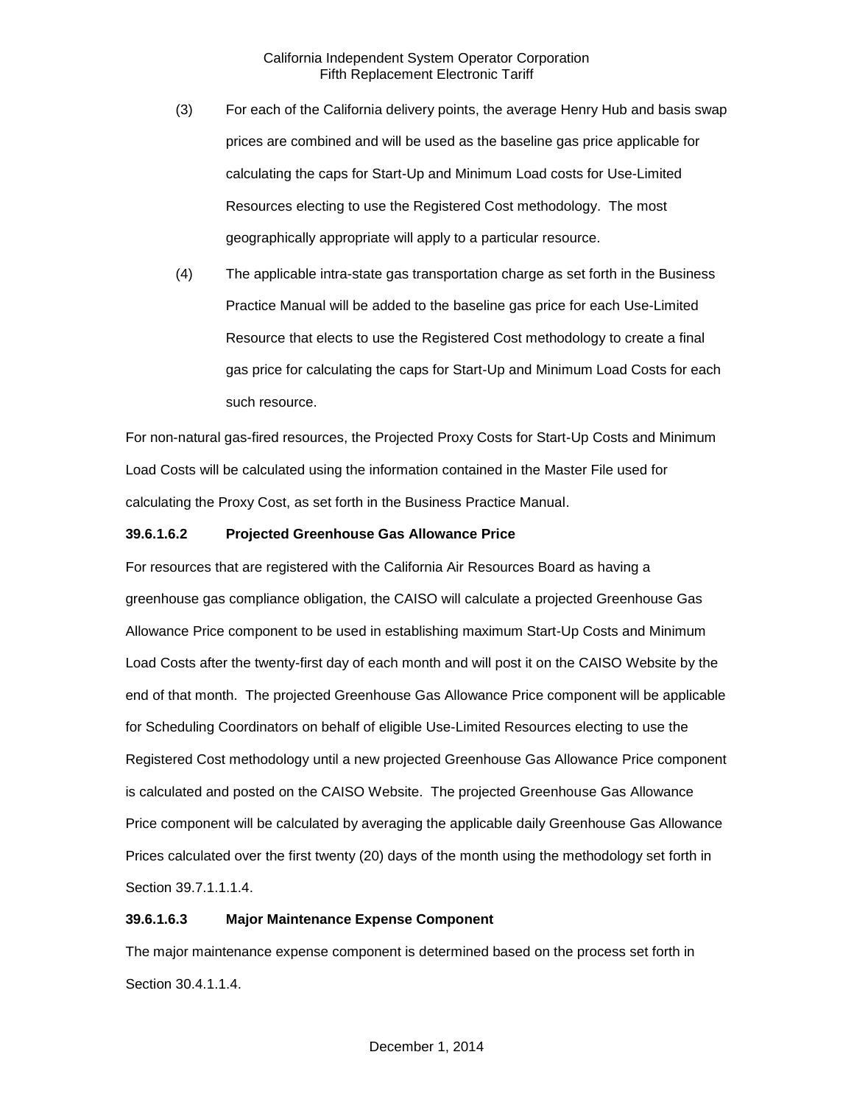- (3) For each of the California delivery points, the average Henry Hub and basis swap prices are combined and will be used as the baseline gas price applicable for calculating the caps for Start-Up and Minimum Load costs for Use-Limited Resources electing to use the Registered Cost methodology. The most geographically appropriate will apply to a particular resource.
- (4) The applicable intra-state gas transportation charge as set forth in the Business Practice Manual will be added to the baseline gas price for each Use-Limited Resource that elects to use the Registered Cost methodology to create a final gas price for calculating the caps for Start-Up and Minimum Load Costs for each such resource.

For non-natural gas-fired resources, the Projected Proxy Costs for Start-Up Costs and Minimum Load Costs will be calculated using the information contained in the Master File used for calculating the Proxy Cost, as set forth in the Business Practice Manual.

## **39.6.1.6.2 Projected Greenhouse Gas Allowance Price**

For resources that are registered with the California Air Resources Board as having a greenhouse gas compliance obligation, the CAISO will calculate a projected Greenhouse Gas Allowance Price component to be used in establishing maximum Start-Up Costs and Minimum Load Costs after the twenty-first day of each month and will post it on the CAISO Website by the end of that month. The projected Greenhouse Gas Allowance Price component will be applicable for Scheduling Coordinators on behalf of eligible Use-Limited Resources electing to use the Registered Cost methodology until a new projected Greenhouse Gas Allowance Price component is calculated and posted on the CAISO Website. The projected Greenhouse Gas Allowance Price component will be calculated by averaging the applicable daily Greenhouse Gas Allowance Prices calculated over the first twenty (20) days of the month using the methodology set forth in Section 39.7.1.1.1.4.

# **39.6.1.6.3 Major Maintenance Expense Component**

The major maintenance expense component is determined based on the process set forth in Section 30.4.1.1.4.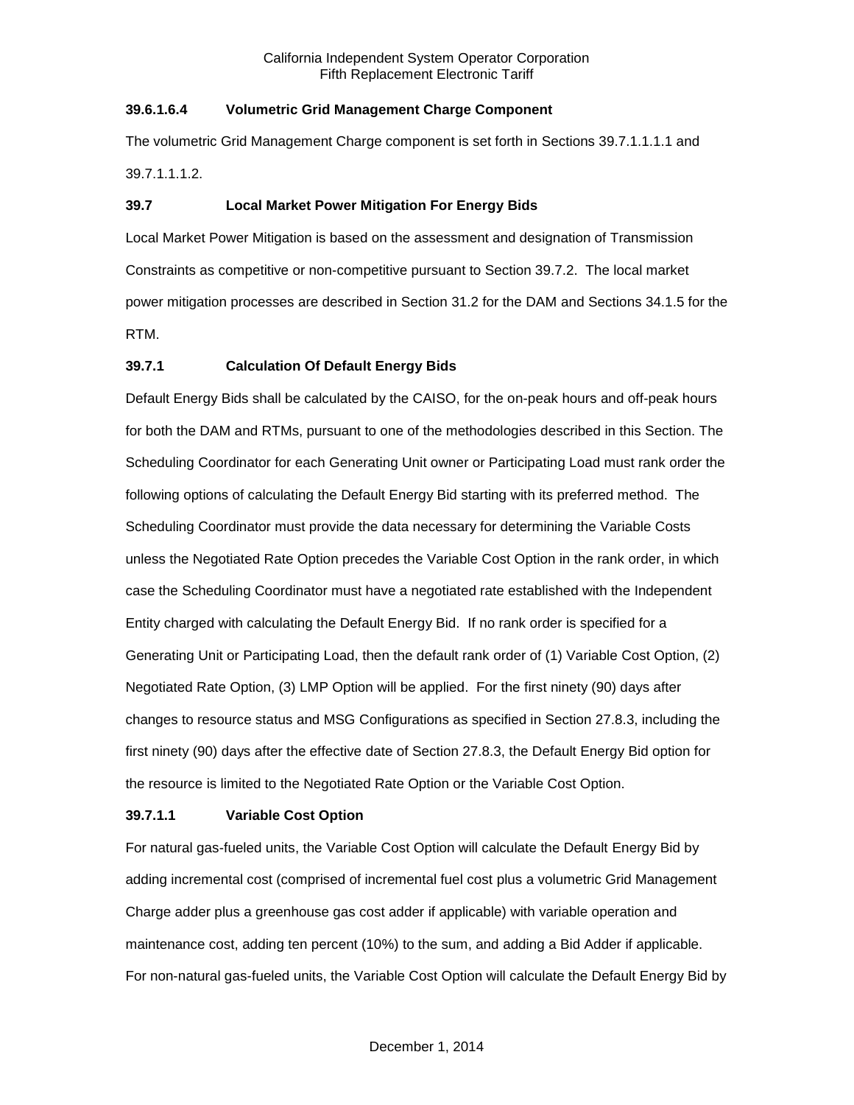# **39.6.1.6.4 Volumetric Grid Management Charge Component**

The volumetric Grid Management Charge component is set forth in Sections 39.7.1.1.1.1 and 39.7.1.1.1.2.

## <span id="page-7-0"></span>**39.7 Local Market Power Mitigation For Energy Bids**

Local Market Power Mitigation is based on the assessment and designation of Transmission Constraints as competitive or non-competitive pursuant to Section 39.7.2. The local market power mitigation processes are described in Section 31.2 for the DAM and Sections 34.1.5 for the RTM.

# <span id="page-7-1"></span>**39.7.1 Calculation Of Default Energy Bids**

Default Energy Bids shall be calculated by the CAISO, for the on-peak hours and off-peak hours for both the DAM and RTMs, pursuant to one of the methodologies described in this Section. The Scheduling Coordinator for each Generating Unit owner or Participating Load must rank order the following options of calculating the Default Energy Bid starting with its preferred method. The Scheduling Coordinator must provide the data necessary for determining the Variable Costs unless the Negotiated Rate Option precedes the Variable Cost Option in the rank order, in which case the Scheduling Coordinator must have a negotiated rate established with the Independent Entity charged with calculating the Default Energy Bid. If no rank order is specified for a Generating Unit or Participating Load, then the default rank order of (1) Variable Cost Option, (2) Negotiated Rate Option, (3) LMP Option will be applied. For the first ninety (90) days after changes to resource status and MSG Configurations as specified in Section 27.8.3, including the first ninety (90) days after the effective date of Section 27.8.3, the Default Energy Bid option for the resource is limited to the Negotiated Rate Option or the Variable Cost Option.

# **39.7.1.1 Variable Cost Option**

For natural gas-fueled units, the Variable Cost Option will calculate the Default Energy Bid by adding incremental cost (comprised of incremental fuel cost plus a volumetric Grid Management Charge adder plus a greenhouse gas cost adder if applicable) with variable operation and maintenance cost, adding ten percent (10%) to the sum, and adding a Bid Adder if applicable. For non-natural gas-fueled units, the Variable Cost Option will calculate the Default Energy Bid by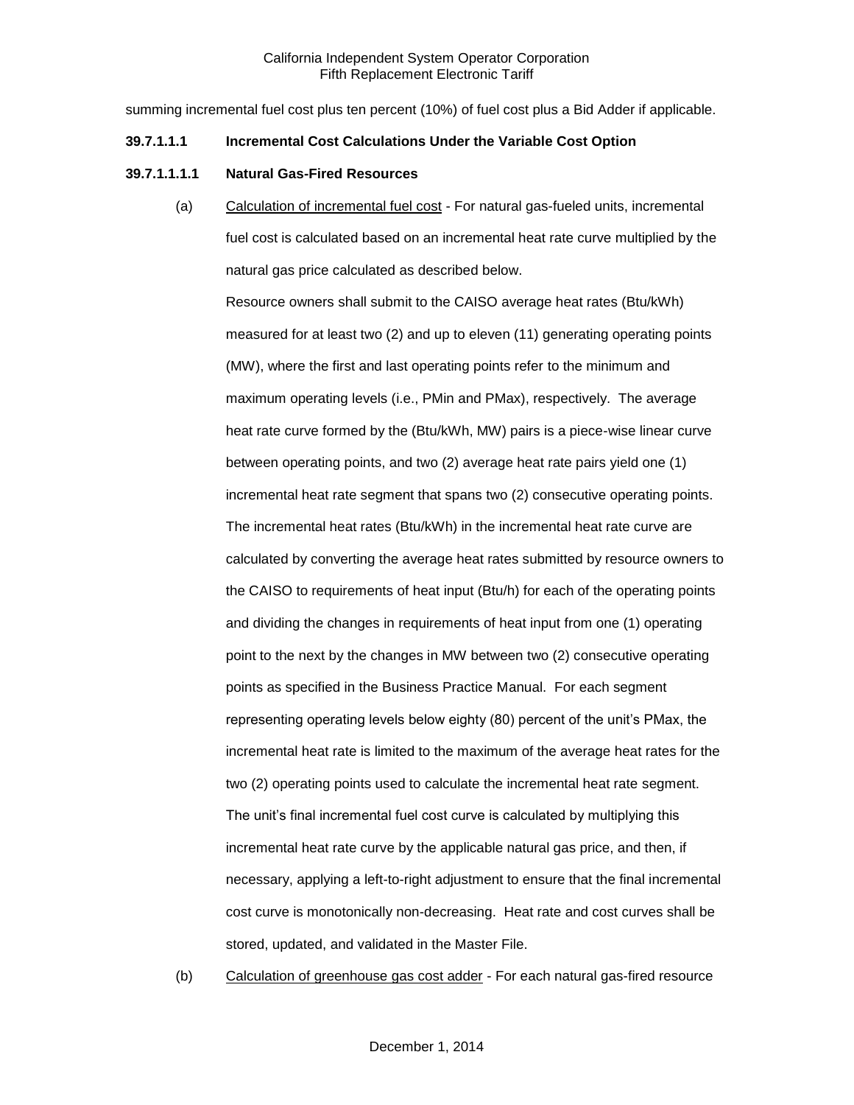summing incremental fuel cost plus ten percent (10%) of fuel cost plus a Bid Adder if applicable.

# **39.7.1.1.1 Incremental Cost Calculations Under the Variable Cost Option**

#### **39.7.1.1.1.1 Natural Gas-Fired Resources**

(a) Calculation of incremental fuel cost - For natural gas-fueled units, incremental fuel cost is calculated based on an incremental heat rate curve multiplied by the natural gas price calculated as described below.

Resource owners shall submit to the CAISO average heat rates (Btu/kWh) measured for at least two (2) and up to eleven (11) generating operating points (MW), where the first and last operating points refer to the minimum and maximum operating levels (i.e., PMin and PMax), respectively. The average heat rate curve formed by the (Btu/kWh, MW) pairs is a piece-wise linear curve between operating points, and two (2) average heat rate pairs yield one (1) incremental heat rate segment that spans two (2) consecutive operating points. The incremental heat rates (Btu/kWh) in the incremental heat rate curve are calculated by converting the average heat rates submitted by resource owners to the CAISO to requirements of heat input (Btu/h) for each of the operating points and dividing the changes in requirements of heat input from one (1) operating point to the next by the changes in MW between two (2) consecutive operating points as specified in the Business Practice Manual. For each segment representing operating levels below eighty (80) percent of the unit's PMax, the incremental heat rate is limited to the maximum of the average heat rates for the two (2) operating points used to calculate the incremental heat rate segment. The unit's final incremental fuel cost curve is calculated by multiplying this incremental heat rate curve by the applicable natural gas price, and then, if necessary, applying a left-to-right adjustment to ensure that the final incremental cost curve is monotonically non-decreasing. Heat rate and cost curves shall be stored, updated, and validated in the Master File.

(b) Calculation of greenhouse gas cost adder - For each natural gas-fired resource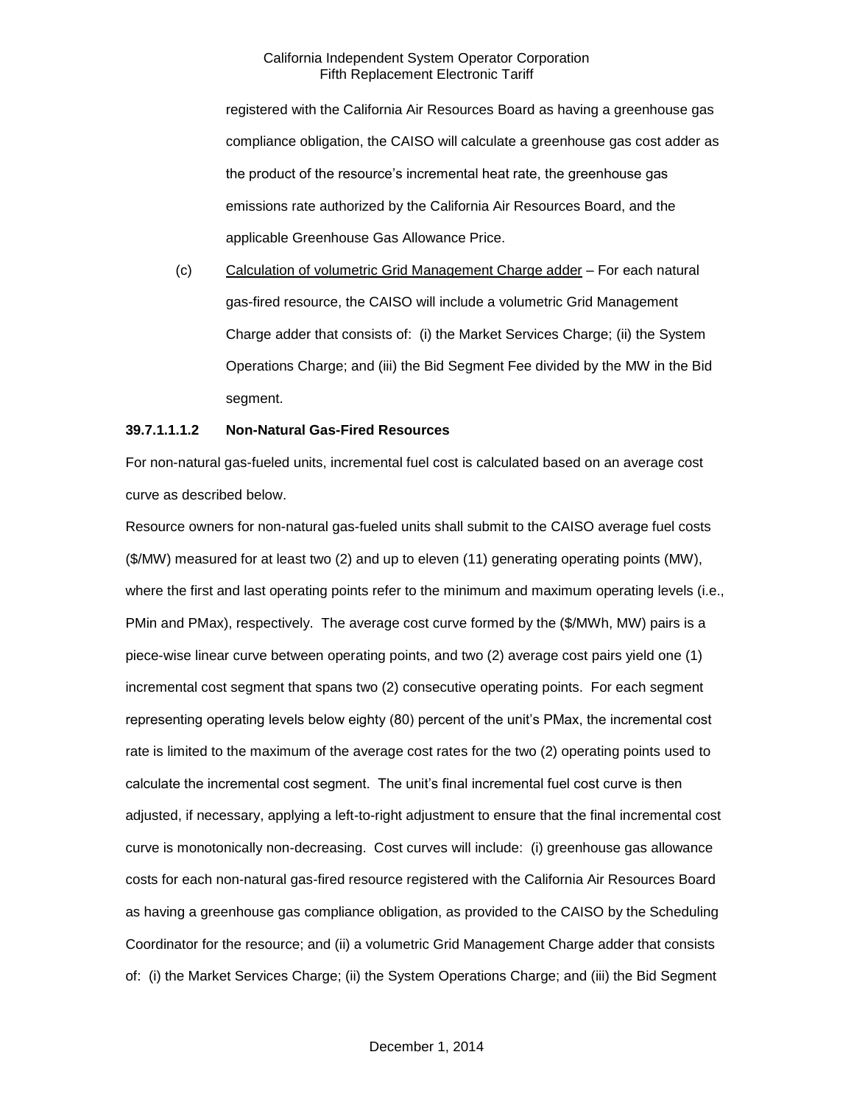registered with the California Air Resources Board as having a greenhouse gas compliance obligation, the CAISO will calculate a greenhouse gas cost adder as the product of the resource's incremental heat rate, the greenhouse gas emissions rate authorized by the California Air Resources Board, and the applicable Greenhouse Gas Allowance Price.

(c) Calculation of volumetric Grid Management Charge adder – For each natural gas-fired resource, the CAISO will include a volumetric Grid Management Charge adder that consists of: (i) the Market Services Charge; (ii) the System Operations Charge; and (iii) the Bid Segment Fee divided by the MW in the Bid segment.

# **39.7.1.1.1.2 Non-Natural Gas-Fired Resources**

For non-natural gas-fueled units, incremental fuel cost is calculated based on an average cost curve as described below.

Resource owners for non-natural gas-fueled units shall submit to the CAISO average fuel costs (\$/MW) measured for at least two (2) and up to eleven (11) generating operating points (MW), where the first and last operating points refer to the minimum and maximum operating levels (i.e., PMin and PMax), respectively. The average cost curve formed by the (\$/MWh, MW) pairs is a piece-wise linear curve between operating points, and two (2) average cost pairs yield one (1) incremental cost segment that spans two (2) consecutive operating points. For each segment representing operating levels below eighty (80) percent of the unit's PMax, the incremental cost rate is limited to the maximum of the average cost rates for the two (2) operating points used to calculate the incremental cost segment. The unit's final incremental fuel cost curve is then adjusted, if necessary, applying a left-to-right adjustment to ensure that the final incremental cost curve is monotonically non-decreasing. Cost curves will include: (i) greenhouse gas allowance costs for each non-natural gas-fired resource registered with the California Air Resources Board as having a greenhouse gas compliance obligation, as provided to the CAISO by the Scheduling Coordinator for the resource; and (ii) a volumetric Grid Management Charge adder that consists of: (i) the Market Services Charge; (ii) the System Operations Charge; and (iii) the Bid Segment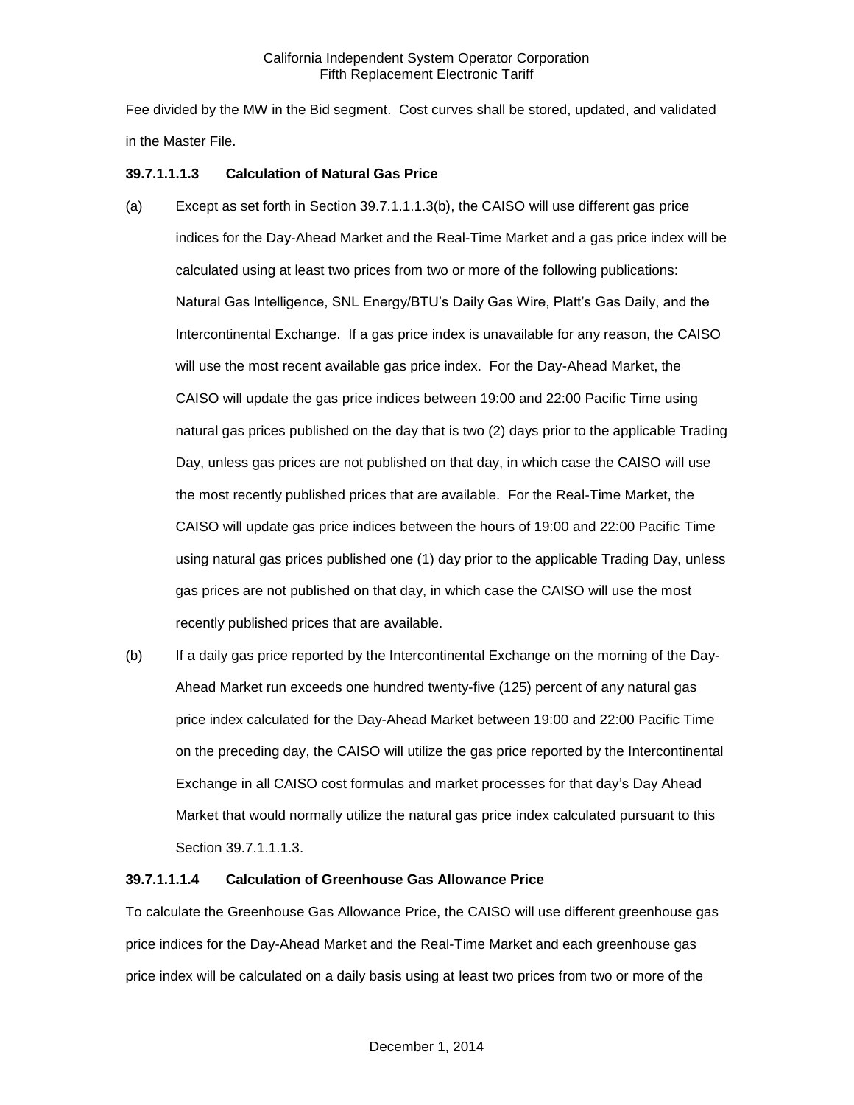Fee divided by the MW in the Bid segment. Cost curves shall be stored, updated, and validated in the Master File.

# **39.7.1.1.1.3 Calculation of Natural Gas Price**

- (a) Except as set forth in Section 39.7.1.1.1.3(b), the CAISO will use different gas price indices for the Day-Ahead Market and the Real-Time Market and a gas price index will be calculated using at least two prices from two or more of the following publications: Natural Gas Intelligence, SNL Energy/BTU's Daily Gas Wire, Platt's Gas Daily, and the Intercontinental Exchange. If a gas price index is unavailable for any reason, the CAISO will use the most recent available gas price index. For the Day-Ahead Market, the CAISO will update the gas price indices between 19:00 and 22:00 Pacific Time using natural gas prices published on the day that is two (2) days prior to the applicable Trading Day, unless gas prices are not published on that day, in which case the CAISO will use the most recently published prices that are available. For the Real-Time Market, the CAISO will update gas price indices between the hours of 19:00 and 22:00 Pacific Time using natural gas prices published one (1) day prior to the applicable Trading Day, unless gas prices are not published on that day, in which case the CAISO will use the most recently published prices that are available.
- (b) If a daily gas price reported by the Intercontinental Exchange on the morning of the Day-Ahead Market run exceeds one hundred twenty-five (125) percent of any natural gas price index calculated for the Day-Ahead Market between 19:00 and 22:00 Pacific Time on the preceding day, the CAISO will utilize the gas price reported by the Intercontinental Exchange in all CAISO cost formulas and market processes for that day's Day Ahead Market that would normally utilize the natural gas price index calculated pursuant to this Section 39.7.1.1.1.3.

#### **39.7.1.1.1.4 Calculation of Greenhouse Gas Allowance Price**

To calculate the Greenhouse Gas Allowance Price, the CAISO will use different greenhouse gas price indices for the Day-Ahead Market and the Real-Time Market and each greenhouse gas price index will be calculated on a daily basis using at least two prices from two or more of the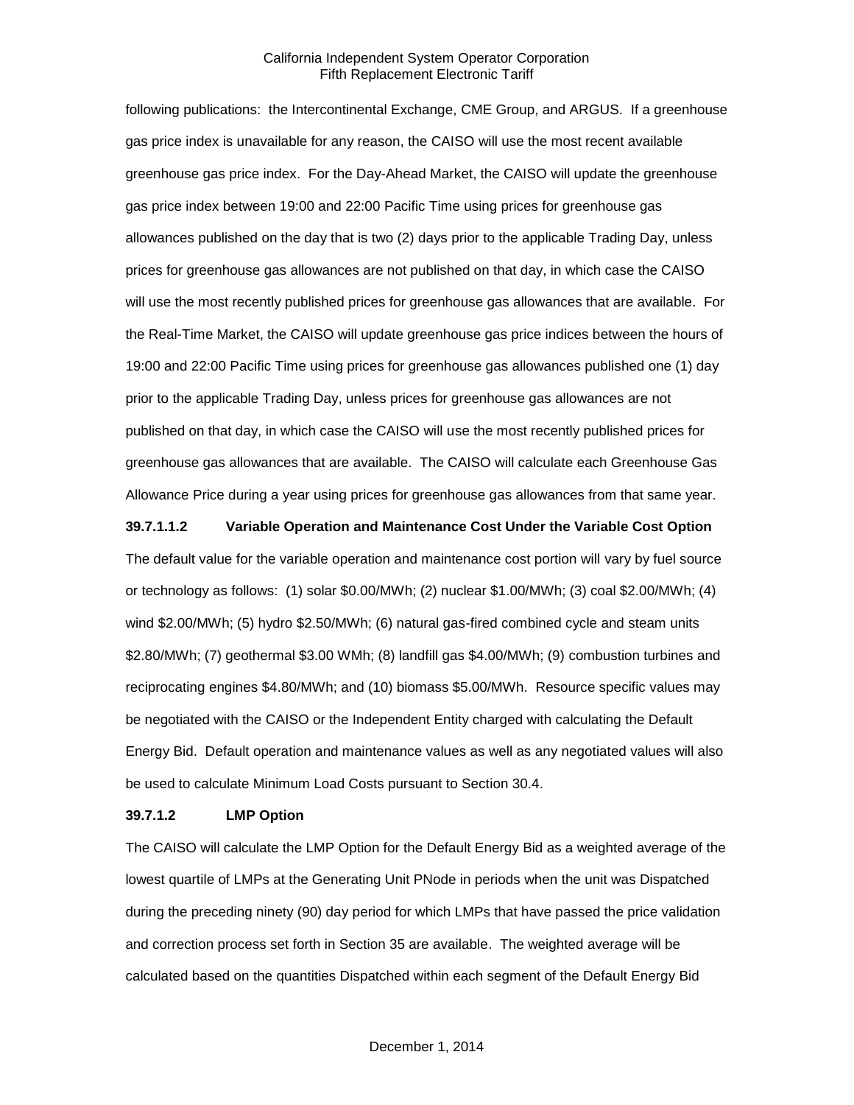following publications: the Intercontinental Exchange, CME Group, and ARGUS. If a greenhouse gas price index is unavailable for any reason, the CAISO will use the most recent available greenhouse gas price index. For the Day-Ahead Market, the CAISO will update the greenhouse gas price index between 19:00 and 22:00 Pacific Time using prices for greenhouse gas allowances published on the day that is two (2) days prior to the applicable Trading Day, unless prices for greenhouse gas allowances are not published on that day, in which case the CAISO will use the most recently published prices for greenhouse gas allowances that are available. For the Real-Time Market, the CAISO will update greenhouse gas price indices between the hours of 19:00 and 22:00 Pacific Time using prices for greenhouse gas allowances published one (1) day prior to the applicable Trading Day, unless prices for greenhouse gas allowances are not published on that day, in which case the CAISO will use the most recently published prices for greenhouse gas allowances that are available. The CAISO will calculate each Greenhouse Gas Allowance Price during a year using prices for greenhouse gas allowances from that same year.

#### **39.7.1.1.2 Variable Operation and Maintenance Cost Under the Variable Cost Option**

The default value for the variable operation and maintenance cost portion will vary by fuel source or technology as follows: (1) solar \$0.00/MWh; (2) nuclear \$1.00/MWh; (3) coal \$2.00/MWh; (4) wind \$2.00/MWh; (5) hydro \$2.50/MWh; (6) natural gas-fired combined cycle and steam units \$2.80/MWh; (7) geothermal \$3.00 WMh; (8) landfill gas \$4.00/MWh; (9) combustion turbines and reciprocating engines \$4.80/MWh; and (10) biomass \$5.00/MWh. Resource specific values may be negotiated with the CAISO or the Independent Entity charged with calculating the Default Energy Bid. Default operation and maintenance values as well as any negotiated values will also be used to calculate Minimum Load Costs pursuant to Section 30.4.

#### **39.7.1.2 LMP Option**

The CAISO will calculate the LMP Option for the Default Energy Bid as a weighted average of the lowest quartile of LMPs at the Generating Unit PNode in periods when the unit was Dispatched during the preceding ninety (90) day period for which LMPs that have passed the price validation and correction process set forth in Section 35 are available. The weighted average will be calculated based on the quantities Dispatched within each segment of the Default Energy Bid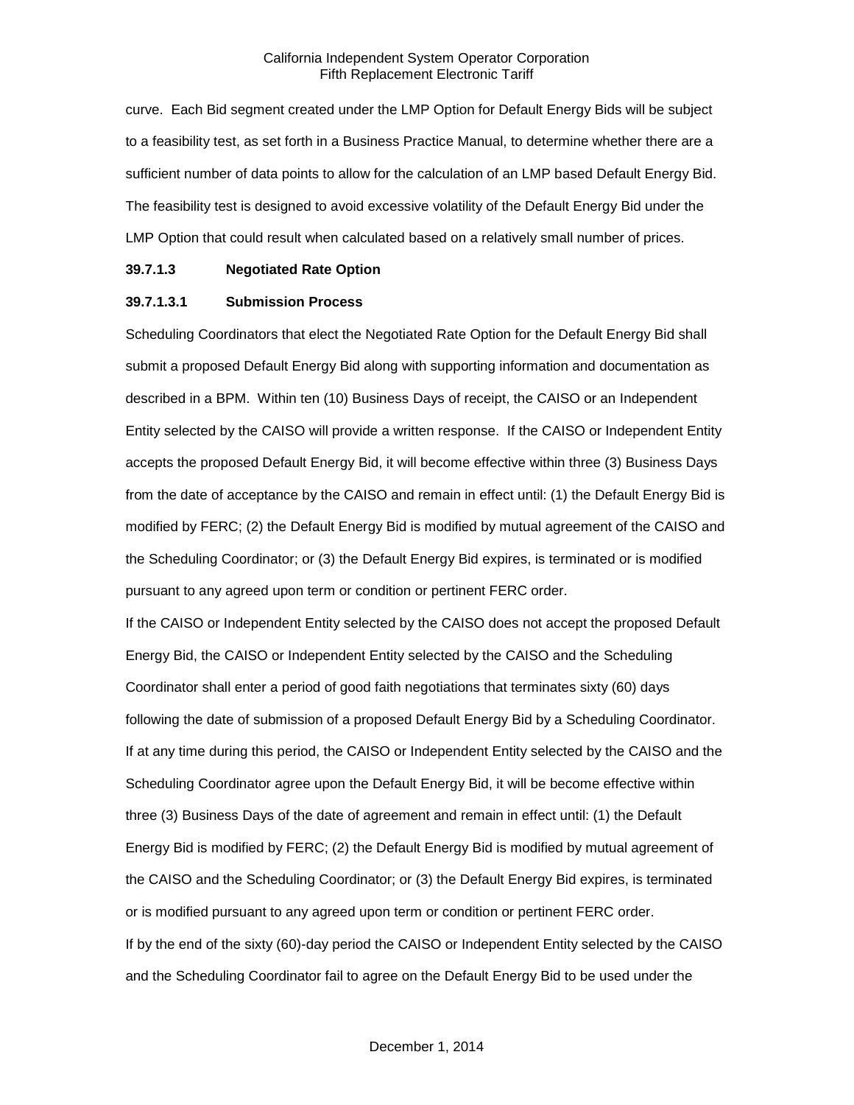curve. Each Bid segment created under the LMP Option for Default Energy Bids will be subject to a feasibility test, as set forth in a Business Practice Manual, to determine whether there are a sufficient number of data points to allow for the calculation of an LMP based Default Energy Bid. The feasibility test is designed to avoid excessive volatility of the Default Energy Bid under the LMP Option that could result when calculated based on a relatively small number of prices.

#### **39.7.1.3 Negotiated Rate Option**

#### **39.7.1.3.1 Submission Process**

Scheduling Coordinators that elect the Negotiated Rate Option for the Default Energy Bid shall submit a proposed Default Energy Bid along with supporting information and documentation as described in a BPM. Within ten (10) Business Days of receipt, the CAISO or an Independent Entity selected by the CAISO will provide a written response. If the CAISO or Independent Entity accepts the proposed Default Energy Bid, it will become effective within three (3) Business Days from the date of acceptance by the CAISO and remain in effect until: (1) the Default Energy Bid is modified by FERC; (2) the Default Energy Bid is modified by mutual agreement of the CAISO and the Scheduling Coordinator; or (3) the Default Energy Bid expires, is terminated or is modified pursuant to any agreed upon term or condition or pertinent FERC order.

If the CAISO or Independent Entity selected by the CAISO does not accept the proposed Default Energy Bid, the CAISO or Independent Entity selected by the CAISO and the Scheduling Coordinator shall enter a period of good faith negotiations that terminates sixty (60) days following the date of submission of a proposed Default Energy Bid by a Scheduling Coordinator. If at any time during this period, the CAISO or Independent Entity selected by the CAISO and the Scheduling Coordinator agree upon the Default Energy Bid, it will be become effective within three (3) Business Days of the date of agreement and remain in effect until: (1) the Default Energy Bid is modified by FERC; (2) the Default Energy Bid is modified by mutual agreement of the CAISO and the Scheduling Coordinator; or (3) the Default Energy Bid expires, is terminated or is modified pursuant to any agreed upon term or condition or pertinent FERC order. If by the end of the sixty (60)-day period the CAISO or Independent Entity selected by the CAISO and the Scheduling Coordinator fail to agree on the Default Energy Bid to be used under the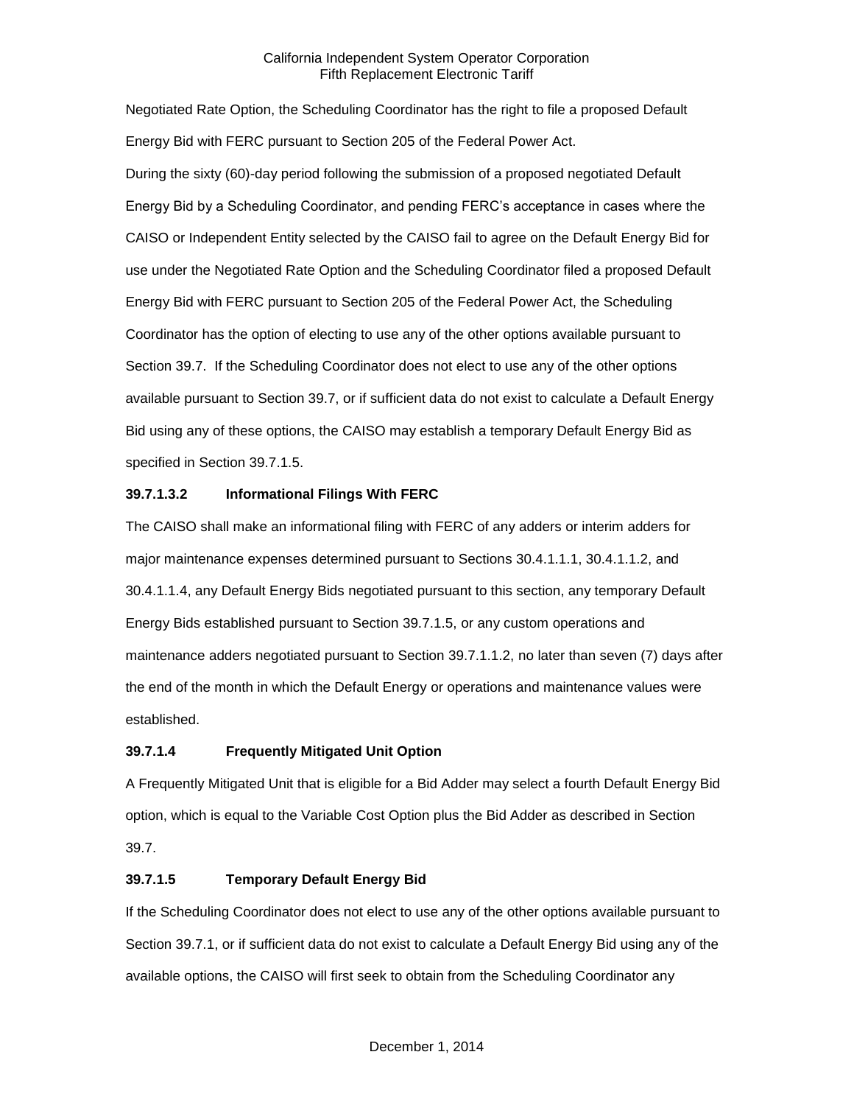Negotiated Rate Option, the Scheduling Coordinator has the right to file a proposed Default Energy Bid with FERC pursuant to Section 205 of the Federal Power Act. During the sixty (60)-day period following the submission of a proposed negotiated Default Energy Bid by a Scheduling Coordinator, and pending FERC's acceptance in cases where the CAISO or Independent Entity selected by the CAISO fail to agree on the Default Energy Bid for use under the Negotiated Rate Option and the Scheduling Coordinator filed a proposed Default Energy Bid with FERC pursuant to Section 205 of the Federal Power Act, the Scheduling Coordinator has the option of electing to use any of the other options available pursuant to Section 39.7. If the Scheduling Coordinator does not elect to use any of the other options available pursuant to Section 39.7, or if sufficient data do not exist to calculate a Default Energy Bid using any of these options, the CAISO may establish a temporary Default Energy Bid as specified in Section 39.7.1.5.

# **39.7.1.3.2 Informational Filings With FERC**

The CAISO shall make an informational filing with FERC of any adders or interim adders for major maintenance expenses determined pursuant to Sections 30.4.1.1.1, 30.4.1.1.2, and 30.4.1.1.4, any Default Energy Bids negotiated pursuant to this section, any temporary Default Energy Bids established pursuant to Section 39.7.1.5, or any custom operations and maintenance adders negotiated pursuant to Section 39.7.1.1.2, no later than seven (7) days after the end of the month in which the Default Energy or operations and maintenance values were established.

# **39.7.1.4 Frequently Mitigated Unit Option**

A Frequently Mitigated Unit that is eligible for a Bid Adder may select a fourth Default Energy Bid option, which is equal to the Variable Cost Option plus the Bid Adder as described in Section 39.7.

# **39.7.1.5 Temporary Default Energy Bid**

If the Scheduling Coordinator does not elect to use any of the other options available pursuant to Section 39.7.1, or if sufficient data do not exist to calculate a Default Energy Bid using any of the available options, the CAISO will first seek to obtain from the Scheduling Coordinator any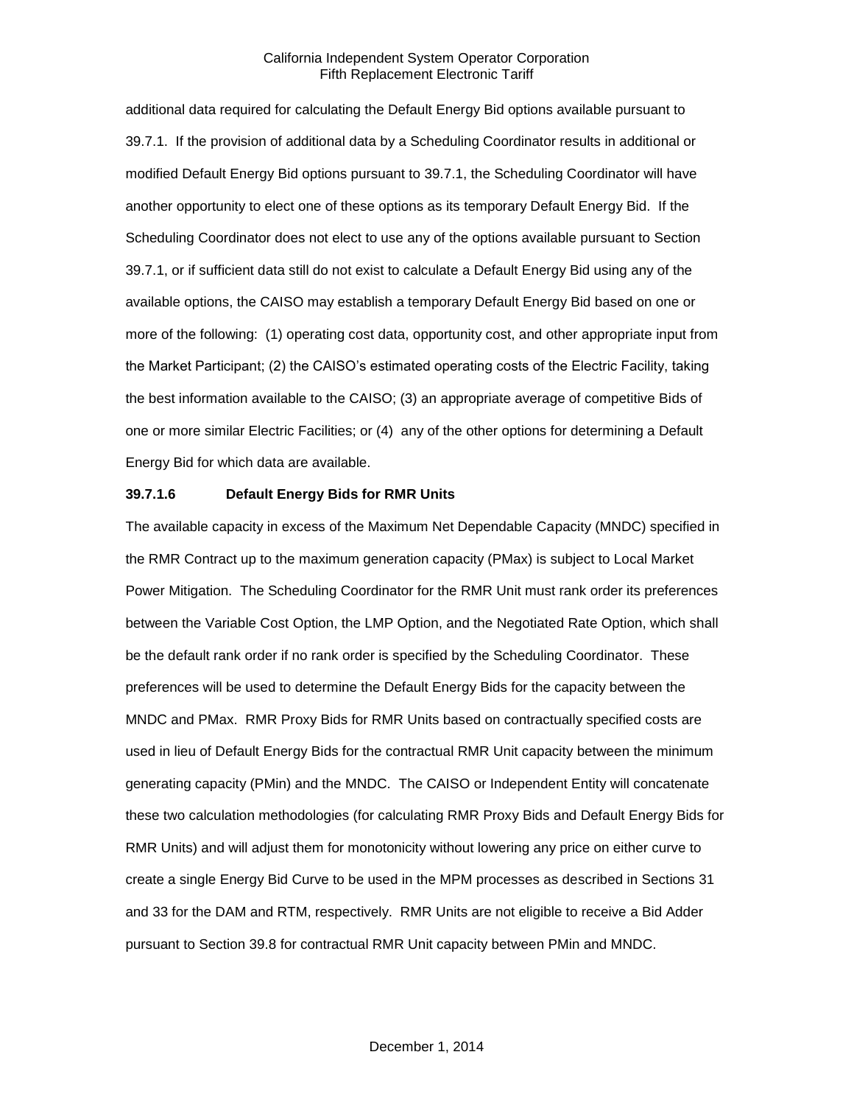additional data required for calculating the Default Energy Bid options available pursuant to 39.7.1. If the provision of additional data by a Scheduling Coordinator results in additional or modified Default Energy Bid options pursuant to 39.7.1, the Scheduling Coordinator will have another opportunity to elect one of these options as its temporary Default Energy Bid. If the Scheduling Coordinator does not elect to use any of the options available pursuant to Section 39.7.1, or if sufficient data still do not exist to calculate a Default Energy Bid using any of the available options, the CAISO may establish a temporary Default Energy Bid based on one or more of the following: (1) operating cost data, opportunity cost, and other appropriate input from the Market Participant; (2) the CAISO's estimated operating costs of the Electric Facility, taking the best information available to the CAISO; (3) an appropriate average of competitive Bids of one or more similar Electric Facilities; or (4) any of the other options for determining a Default Energy Bid for which data are available.

## **39.7.1.6 Default Energy Bids for RMR Units**

The available capacity in excess of the Maximum Net Dependable Capacity (MNDC) specified in the RMR Contract up to the maximum generation capacity (PMax) is subject to Local Market Power Mitigation. The Scheduling Coordinator for the RMR Unit must rank order its preferences between the Variable Cost Option, the LMP Option, and the Negotiated Rate Option, which shall be the default rank order if no rank order is specified by the Scheduling Coordinator. These preferences will be used to determine the Default Energy Bids for the capacity between the MNDC and PMax. RMR Proxy Bids for RMR Units based on contractually specified costs are used in lieu of Default Energy Bids for the contractual RMR Unit capacity between the minimum generating capacity (PMin) and the MNDC. The CAISO or Independent Entity will concatenate these two calculation methodologies (for calculating RMR Proxy Bids and Default Energy Bids for RMR Units) and will adjust them for monotonicity without lowering any price on either curve to create a single Energy Bid Curve to be used in the MPM processes as described in Sections 31 and 33 for the DAM and RTM, respectively. RMR Units are not eligible to receive a Bid Adder pursuant to Section 39.8 for contractual RMR Unit capacity between PMin and MNDC.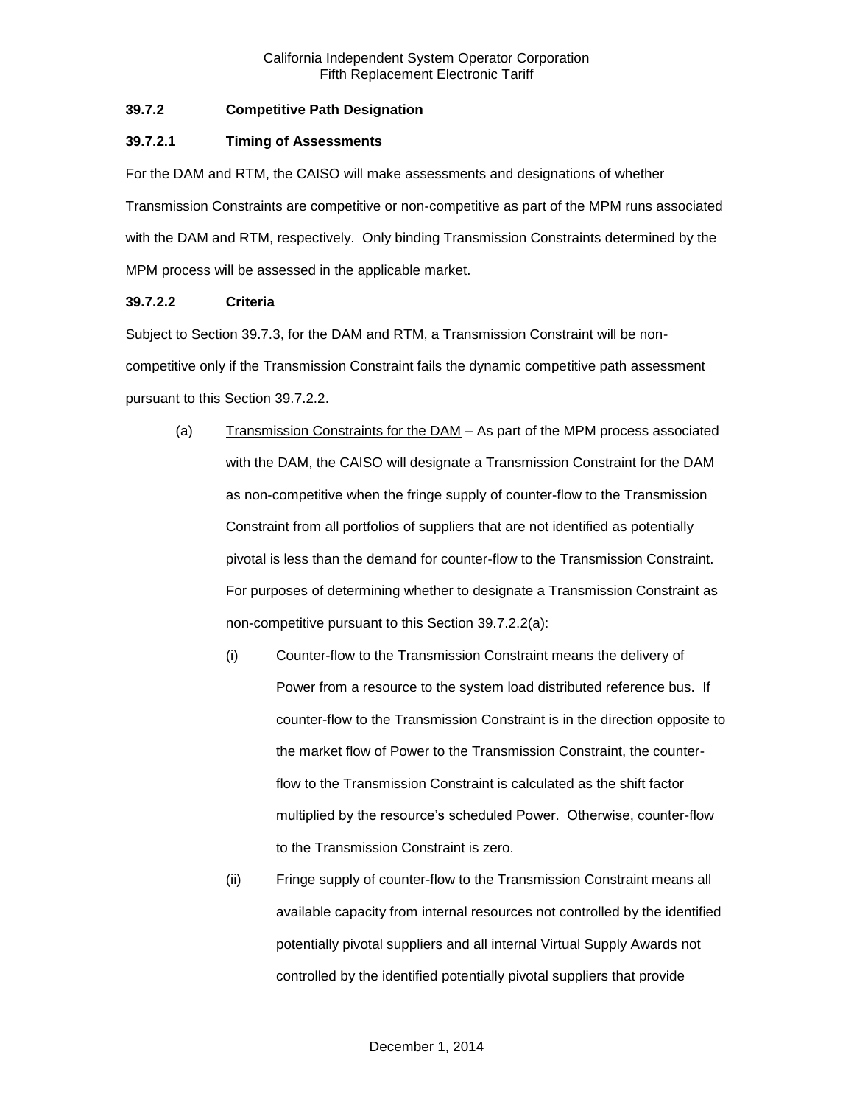# <span id="page-15-0"></span>**39.7.2 Competitive Path Designation**

# **39.7.2.1 Timing of Assessments**

For the DAM and RTM, the CAISO will make assessments and designations of whether Transmission Constraints are competitive or non-competitive as part of the MPM runs associated with the DAM and RTM, respectively. Only binding Transmission Constraints determined by the MPM process will be assessed in the applicable market.

# **39.7.2.2 Criteria**

Subject to Section 39.7.3, for the DAM and RTM, a Transmission Constraint will be noncompetitive only if the Transmission Constraint fails the dynamic competitive path assessment pursuant to this Section 39.7.2.2.

- (a) Transmission Constraints for the DAM As part of the MPM process associated with the DAM, the CAISO will designate a Transmission Constraint for the DAM as non-competitive when the fringe supply of counter-flow to the Transmission Constraint from all portfolios of suppliers that are not identified as potentially pivotal is less than the demand for counter-flow to the Transmission Constraint. For purposes of determining whether to designate a Transmission Constraint as non-competitive pursuant to this Section 39.7.2.2(a):
	- (i) Counter-flow to the Transmission Constraint means the delivery of Power from a resource to the system load distributed reference bus. If counter-flow to the Transmission Constraint is in the direction opposite to the market flow of Power to the Transmission Constraint, the counterflow to the Transmission Constraint is calculated as the shift factor multiplied by the resource's scheduled Power. Otherwise, counter-flow to the Transmission Constraint is zero.
	- (ii) Fringe supply of counter-flow to the Transmission Constraint means all available capacity from internal resources not controlled by the identified potentially pivotal suppliers and all internal Virtual Supply Awards not controlled by the identified potentially pivotal suppliers that provide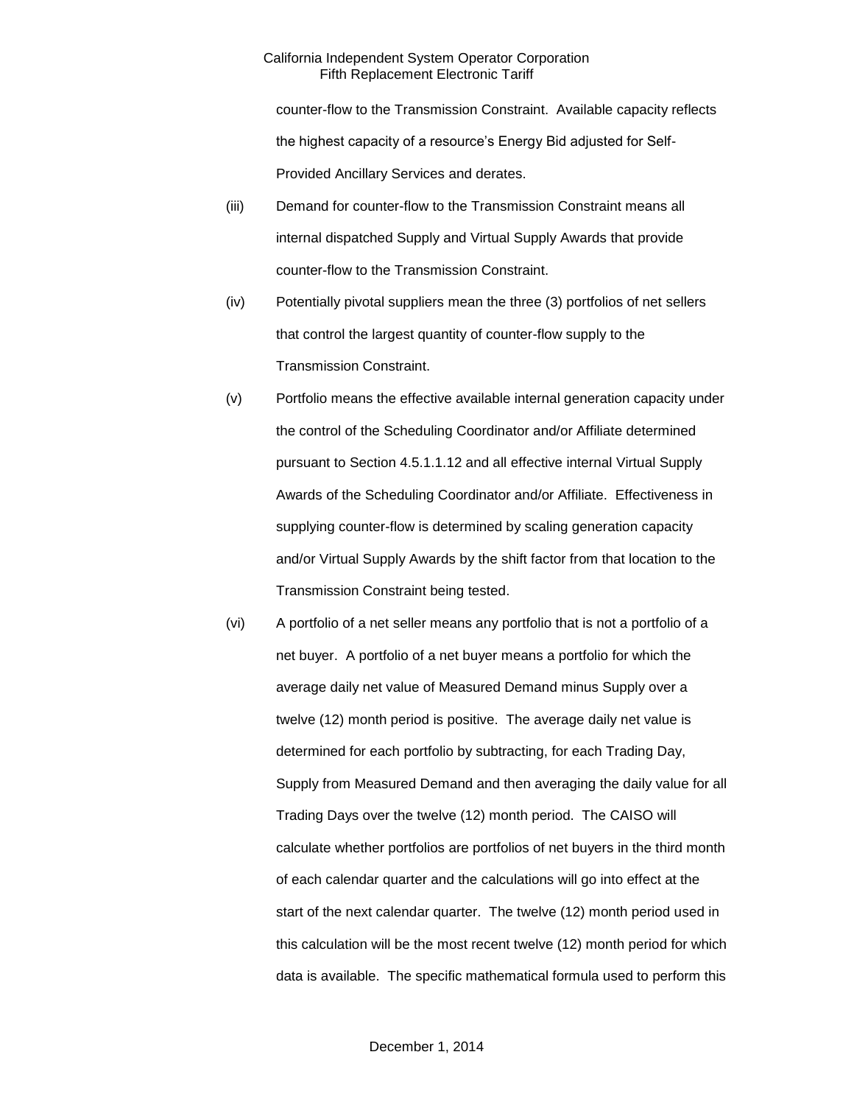counter-flow to the Transmission Constraint. Available capacity reflects the highest capacity of a resource's Energy Bid adjusted for Self-Provided Ancillary Services and derates.

- (iii) Demand for counter-flow to the Transmission Constraint means all internal dispatched Supply and Virtual Supply Awards that provide counter-flow to the Transmission Constraint.
- (iv) Potentially pivotal suppliers mean the three (3) portfolios of net sellers that control the largest quantity of counter-flow supply to the Transmission Constraint.
- (v) Portfolio means the effective available internal generation capacity under the control of the Scheduling Coordinator and/or Affiliate determined pursuant to Section 4.5.1.1.12 and all effective internal Virtual Supply Awards of the Scheduling Coordinator and/or Affiliate. Effectiveness in supplying counter-flow is determined by scaling generation capacity and/or Virtual Supply Awards by the shift factor from that location to the Transmission Constraint being tested.
- (vi) A portfolio of a net seller means any portfolio that is not a portfolio of a net buyer. A portfolio of a net buyer means a portfolio for which the average daily net value of Measured Demand minus Supply over a twelve (12) month period is positive. The average daily net value is determined for each portfolio by subtracting, for each Trading Day, Supply from Measured Demand and then averaging the daily value for all Trading Days over the twelve (12) month period. The CAISO will calculate whether portfolios are portfolios of net buyers in the third month of each calendar quarter and the calculations will go into effect at the start of the next calendar quarter. The twelve (12) month period used in this calculation will be the most recent twelve (12) month period for which data is available. The specific mathematical formula used to perform this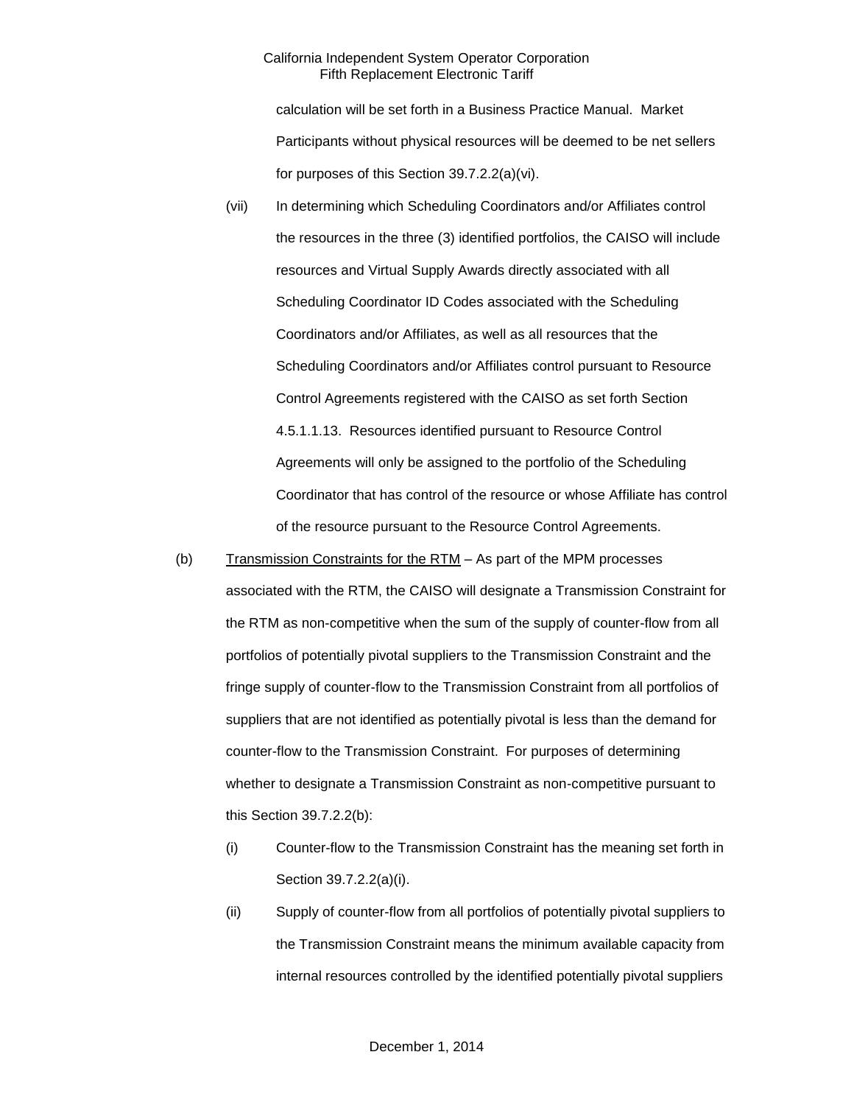calculation will be set forth in a Business Practice Manual. Market Participants without physical resources will be deemed to be net sellers for purposes of this Section 39.7.2.2(a)(vi).

- (vii) In determining which Scheduling Coordinators and/or Affiliates control the resources in the three (3) identified portfolios, the CAISO will include resources and Virtual Supply Awards directly associated with all Scheduling Coordinator ID Codes associated with the Scheduling Coordinators and/or Affiliates, as well as all resources that the Scheduling Coordinators and/or Affiliates control pursuant to Resource Control Agreements registered with the CAISO as set forth Section 4.5.1.1.13. Resources identified pursuant to Resource Control Agreements will only be assigned to the portfolio of the Scheduling Coordinator that has control of the resource or whose Affiliate has control of the resource pursuant to the Resource Control Agreements.
- (b) Transmission Constraints for the  $RTM As$  part of the MPM processes associated with the RTM, the CAISO will designate a Transmission Constraint for the RTM as non-competitive when the sum of the supply of counter-flow from all portfolios of potentially pivotal suppliers to the Transmission Constraint and the fringe supply of counter-flow to the Transmission Constraint from all portfolios of suppliers that are not identified as potentially pivotal is less than the demand for counter-flow to the Transmission Constraint. For purposes of determining whether to designate a Transmission Constraint as non-competitive pursuant to this Section 39.7.2.2(b):
	- (i) Counter-flow to the Transmission Constraint has the meaning set forth in Section 39.7.2.2(a)(i).
	- (ii) Supply of counter-flow from all portfolios of potentially pivotal suppliers to the Transmission Constraint means the minimum available capacity from internal resources controlled by the identified potentially pivotal suppliers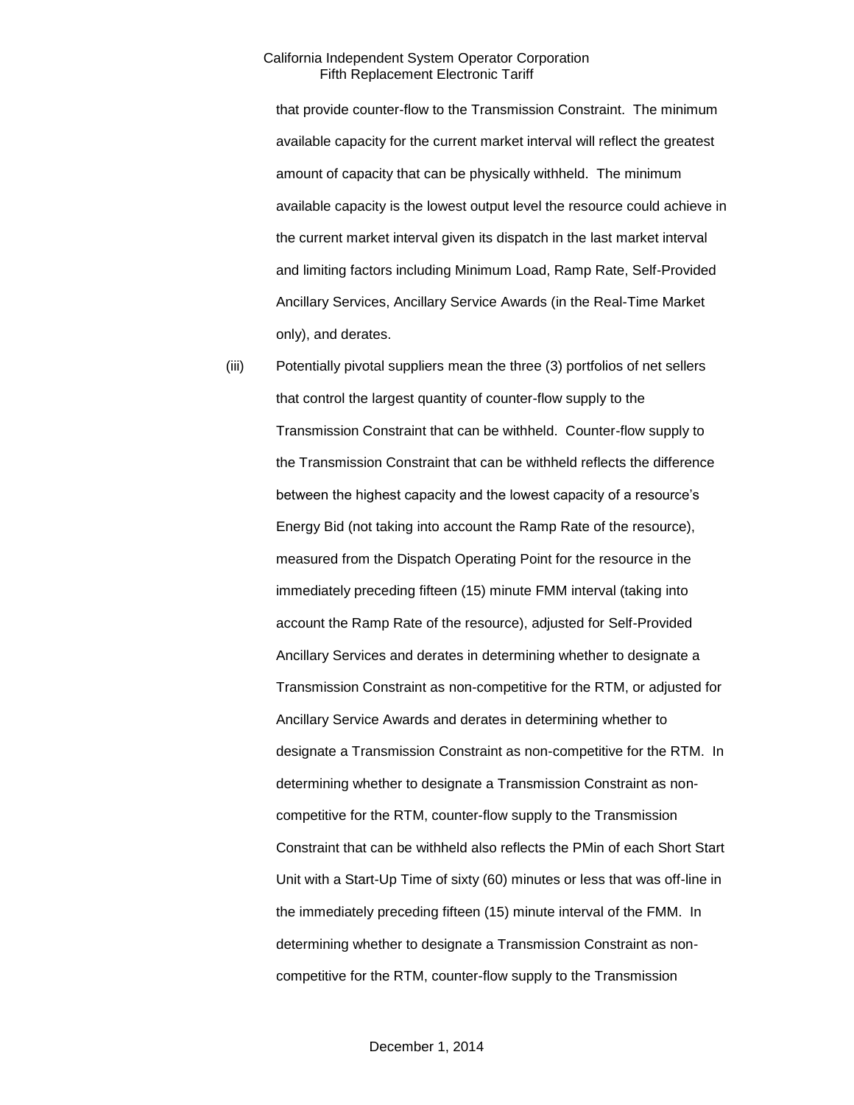that provide counter-flow to the Transmission Constraint. The minimum available capacity for the current market interval will reflect the greatest amount of capacity that can be physically withheld. The minimum available capacity is the lowest output level the resource could achieve in the current market interval given its dispatch in the last market interval and limiting factors including Minimum Load, Ramp Rate, Self-Provided Ancillary Services, Ancillary Service Awards (in the Real-Time Market only), and derates.

(iii) Potentially pivotal suppliers mean the three (3) portfolios of net sellers that control the largest quantity of counter-flow supply to the Transmission Constraint that can be withheld. Counter-flow supply to the Transmission Constraint that can be withheld reflects the difference between the highest capacity and the lowest capacity of a resource's Energy Bid (not taking into account the Ramp Rate of the resource), measured from the Dispatch Operating Point for the resource in the immediately preceding fifteen (15) minute FMM interval (taking into account the Ramp Rate of the resource), adjusted for Self-Provided Ancillary Services and derates in determining whether to designate a Transmission Constraint as non-competitive for the RTM, or adjusted for Ancillary Service Awards and derates in determining whether to designate a Transmission Constraint as non-competitive for the RTM. In determining whether to designate a Transmission Constraint as noncompetitive for the RTM, counter-flow supply to the Transmission Constraint that can be withheld also reflects the PMin of each Short Start Unit with a Start-Up Time of sixty (60) minutes or less that was off-line in the immediately preceding fifteen (15) minute interval of the FMM. In determining whether to designate a Transmission Constraint as noncompetitive for the RTM, counter-flow supply to the Transmission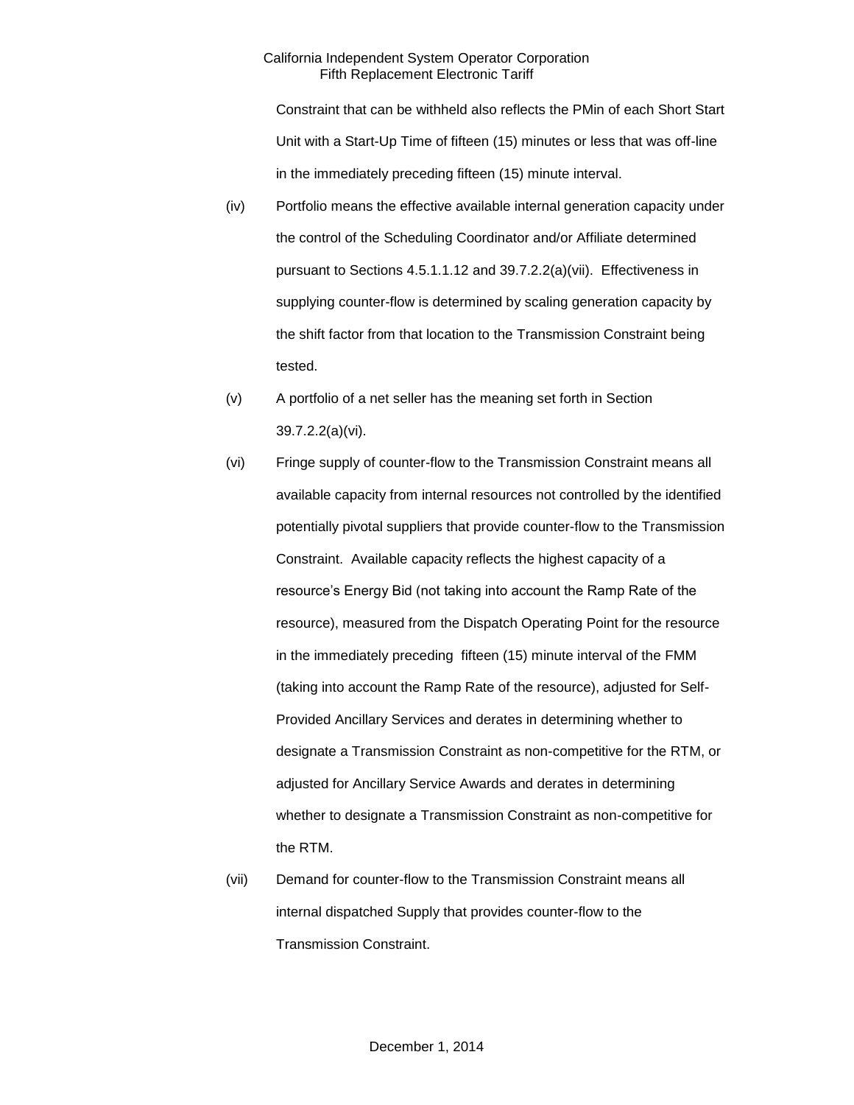Constraint that can be withheld also reflects the PMin of each Short Start Unit with a Start-Up Time of fifteen (15) minutes or less that was off-line in the immediately preceding fifteen (15) minute interval.

- (iv) Portfolio means the effective available internal generation capacity under the control of the Scheduling Coordinator and/or Affiliate determined pursuant to Sections 4.5.1.1.12 and 39.7.2.2(a)(vii). Effectiveness in supplying counter-flow is determined by scaling generation capacity by the shift factor from that location to the Transmission Constraint being tested.
- (v) A portfolio of a net seller has the meaning set forth in Section 39.7.2.2(a)(vi).
- (vi) Fringe supply of counter-flow to the Transmission Constraint means all available capacity from internal resources not controlled by the identified potentially pivotal suppliers that provide counter-flow to the Transmission Constraint. Available capacity reflects the highest capacity of a resource's Energy Bid (not taking into account the Ramp Rate of the resource), measured from the Dispatch Operating Point for the resource in the immediately preceding fifteen (15) minute interval of the FMM (taking into account the Ramp Rate of the resource), adjusted for Self-Provided Ancillary Services and derates in determining whether to designate a Transmission Constraint as non-competitive for the RTM, or adjusted for Ancillary Service Awards and derates in determining whether to designate a Transmission Constraint as non-competitive for the RTM.
- (vii) Demand for counter-flow to the Transmission Constraint means all internal dispatched Supply that provides counter-flow to the Transmission Constraint.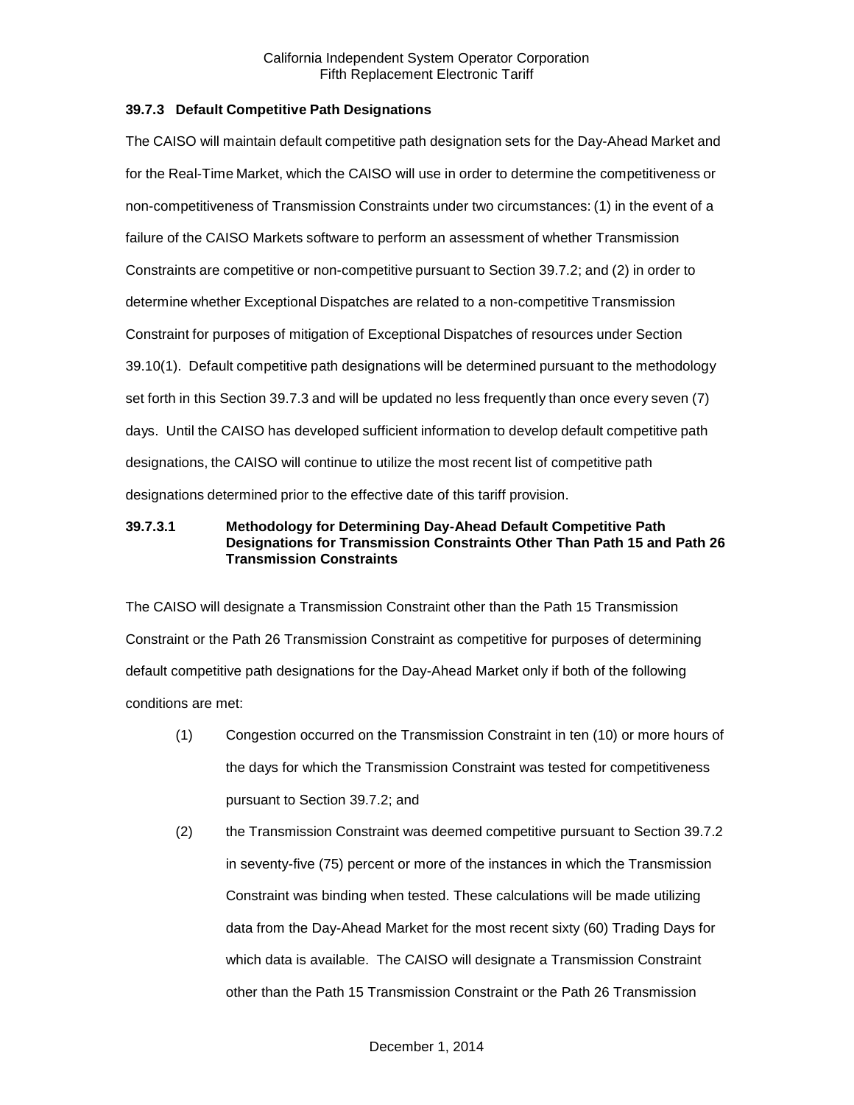# <span id="page-20-0"></span>**39.7.3 Default Competitive Path Designations**

The CAISO will maintain default competitive path designation sets for the Day-Ahead Market and for the Real-Time Market, which the CAISO will use in order to determine the competitiveness or non-competitiveness of Transmission Constraints under two circumstances: (1) in the event of a failure of the CAISO Markets software to perform an assessment of whether Transmission Constraints are competitive or non-competitive pursuant to Section 39.7.2; and (2) in order to determine whether Exceptional Dispatches are related to a non-competitive Transmission Constraint for purposes of mitigation of Exceptional Dispatches of resources under Section 39.10(1). Default competitive path designations will be determined pursuant to the methodology set forth in this Section 39.7.3 and will be updated no less frequently than once every seven (7) days. Until the CAISO has developed sufficient information to develop default competitive path designations, the CAISO will continue to utilize the most recent list of competitive path designations determined prior to the effective date of this tariff provision.

# **39.7.3.1 Methodology for Determining Day-Ahead Default Competitive Path Designations for Transmission Constraints Other Than Path 15 and Path 26 Transmission Constraints**

The CAISO will designate a Transmission Constraint other than the Path 15 Transmission Constraint or the Path 26 Transmission Constraint as competitive for purposes of determining default competitive path designations for the Day-Ahead Market only if both of the following conditions are met:

- (1) Congestion occurred on the Transmission Constraint in ten (10) or more hours of the days for which the Transmission Constraint was tested for competitiveness pursuant to Section 39.7.2; and
- (2) the Transmission Constraint was deemed competitive pursuant to Section 39.7.2 in seventy-five (75) percent or more of the instances in which the Transmission Constraint was binding when tested. These calculations will be made utilizing data from the Day-Ahead Market for the most recent sixty (60) Trading Days for which data is available. The CAISO will designate a Transmission Constraint other than the Path 15 Transmission Constraint or the Path 26 Transmission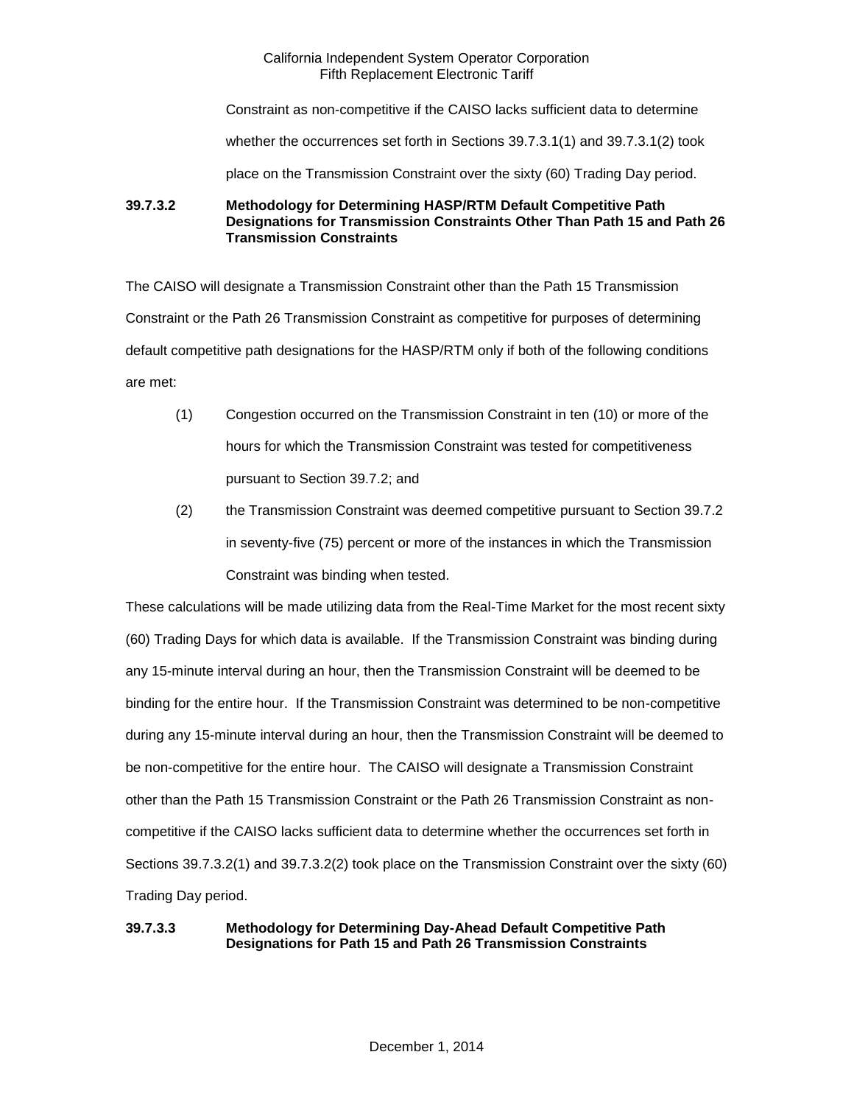Constraint as non-competitive if the CAISO lacks sufficient data to determine

whether the occurrences set forth in Sections 39.7.3.1(1) and 39.7.3.1(2) took

place on the Transmission Constraint over the sixty (60) Trading Day period.

**39.7.3.2 Methodology for Determining HASP/RTM Default Competitive Path Designations for Transmission Constraints Other Than Path 15 and Path 26 Transmission Constraints**

The CAISO will designate a Transmission Constraint other than the Path 15 Transmission Constraint or the Path 26 Transmission Constraint as competitive for purposes of determining default competitive path designations for the HASP/RTM only if both of the following conditions are met:

- (1) Congestion occurred on the Transmission Constraint in ten (10) or more of the hours for which the Transmission Constraint was tested for competitiveness pursuant to Section 39.7.2; and
- (2) the Transmission Constraint was deemed competitive pursuant to Section 39.7.2 in seventy-five (75) percent or more of the instances in which the Transmission Constraint was binding when tested.

These calculations will be made utilizing data from the Real-Time Market for the most recent sixty (60) Trading Days for which data is available. If the Transmission Constraint was binding during any 15-minute interval during an hour, then the Transmission Constraint will be deemed to be binding for the entire hour. If the Transmission Constraint was determined to be non-competitive during any 15-minute interval during an hour, then the Transmission Constraint will be deemed to be non-competitive for the entire hour. The CAISO will designate a Transmission Constraint other than the Path 15 Transmission Constraint or the Path 26 Transmission Constraint as noncompetitive if the CAISO lacks sufficient data to determine whether the occurrences set forth in Sections 39.7.3.2(1) and 39.7.3.2(2) took place on the Transmission Constraint over the sixty (60) Trading Day period.

# **39.7.3.3 Methodology for Determining Day-Ahead Default Competitive Path Designations for Path 15 and Path 26 Transmission Constraints**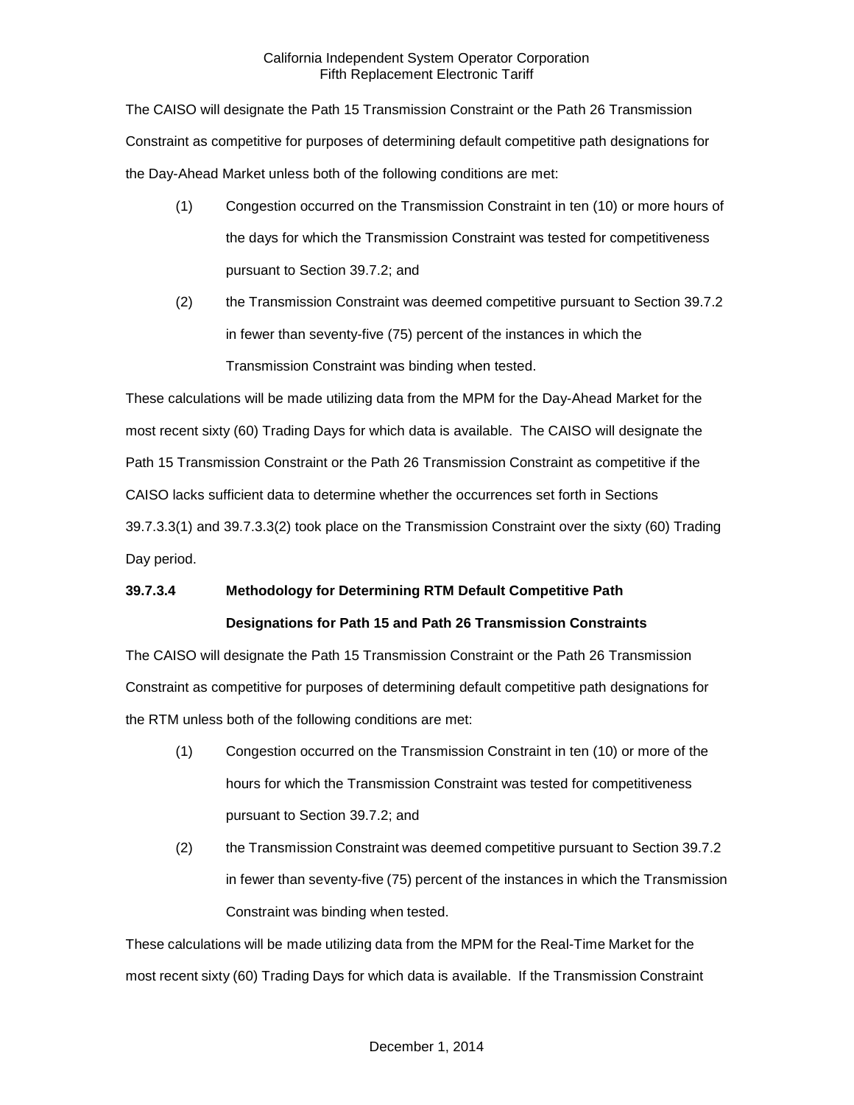The CAISO will designate the Path 15 Transmission Constraint or the Path 26 Transmission Constraint as competitive for purposes of determining default competitive path designations for the Day-Ahead Market unless both of the following conditions are met:

- (1) Congestion occurred on the Transmission Constraint in ten (10) or more hours of the days for which the Transmission Constraint was tested for competitiveness pursuant to Section 39.7.2; and
- (2) the Transmission Constraint was deemed competitive pursuant to Section 39.7.2 in fewer than seventy-five (75) percent of the instances in which the Transmission Constraint was binding when tested.

These calculations will be made utilizing data from the MPM for the Day-Ahead Market for the most recent sixty (60) Trading Days for which data is available. The CAISO will designate the Path 15 Transmission Constraint or the Path 26 Transmission Constraint as competitive if the CAISO lacks sufficient data to determine whether the occurrences set forth in Sections 39.7.3.3(1) and 39.7.3.3(2) took place on the Transmission Constraint over the sixty (60) Trading Day period.

# **39.7.3.4 Methodology for Determining RTM Default Competitive Path Designations for Path 15 and Path 26 Transmission Constraints**

The CAISO will designate the Path 15 Transmission Constraint or the Path 26 Transmission Constraint as competitive for purposes of determining default competitive path designations for the RTM unless both of the following conditions are met:

- (1) Congestion occurred on the Transmission Constraint in ten (10) or more of the hours for which the Transmission Constraint was tested for competitiveness pursuant to Section 39.7.2; and
- (2) the Transmission Constraint was deemed competitive pursuant to Section 39.7.2 in fewer than seventy-five (75) percent of the instances in which the Transmission Constraint was binding when tested.

These calculations will be made utilizing data from the MPM for the Real-Time Market for the most recent sixty (60) Trading Days for which data is available. If the Transmission Constraint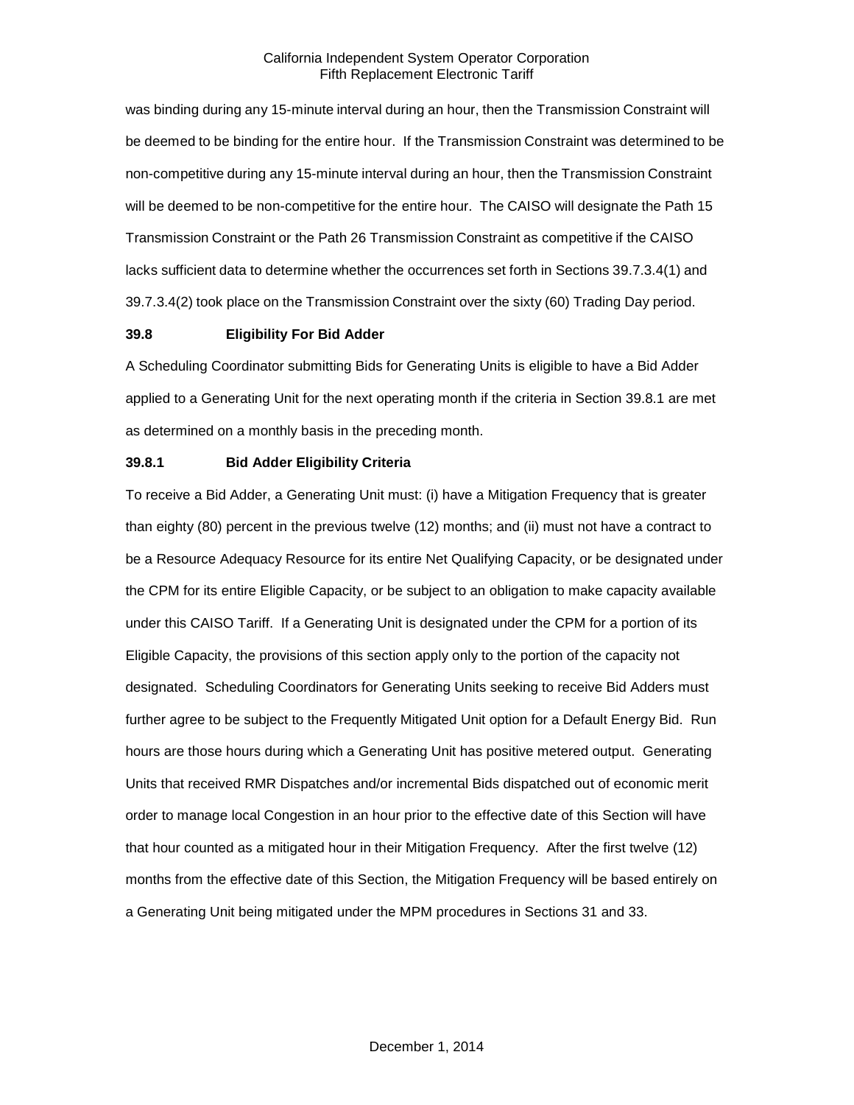was binding during any 15-minute interval during an hour, then the Transmission Constraint will be deemed to be binding for the entire hour. If the Transmission Constraint was determined to be non-competitive during any 15-minute interval during an hour, then the Transmission Constraint will be deemed to be non-competitive for the entire hour. The CAISO will designate the Path 15 Transmission Constraint or the Path 26 Transmission Constraint as competitive if the CAISO lacks sufficient data to determine whether the occurrences set forth in Sections 39.7.3.4(1) and 39.7.3.4(2) took place on the Transmission Constraint over the sixty (60) Trading Day period.

## <span id="page-23-0"></span>**39.8 Eligibility For Bid Adder**

A Scheduling Coordinator submitting Bids for Generating Units is eligible to have a Bid Adder applied to a Generating Unit for the next operating month if the criteria in Section 39.8.1 are met as determined on a monthly basis in the preceding month.

## <span id="page-23-1"></span>**39.8.1 Bid Adder Eligibility Criteria**

To receive a Bid Adder, a Generating Unit must: (i) have a Mitigation Frequency that is greater than eighty (80) percent in the previous twelve (12) months; and (ii) must not have a contract to be a Resource Adequacy Resource for its entire Net Qualifying Capacity, or be designated under the CPM for its entire Eligible Capacity, or be subject to an obligation to make capacity available under this CAISO Tariff. If a Generating Unit is designated under the CPM for a portion of its Eligible Capacity, the provisions of this section apply only to the portion of the capacity not designated. Scheduling Coordinators for Generating Units seeking to receive Bid Adders must further agree to be subject to the Frequently Mitigated Unit option for a Default Energy Bid. Run hours are those hours during which a Generating Unit has positive metered output. Generating Units that received RMR Dispatches and/or incremental Bids dispatched out of economic merit order to manage local Congestion in an hour prior to the effective date of this Section will have that hour counted as a mitigated hour in their Mitigation Frequency. After the first twelve (12) months from the effective date of this Section, the Mitigation Frequency will be based entirely on a Generating Unit being mitigated under the MPM procedures in Sections 31 and 33.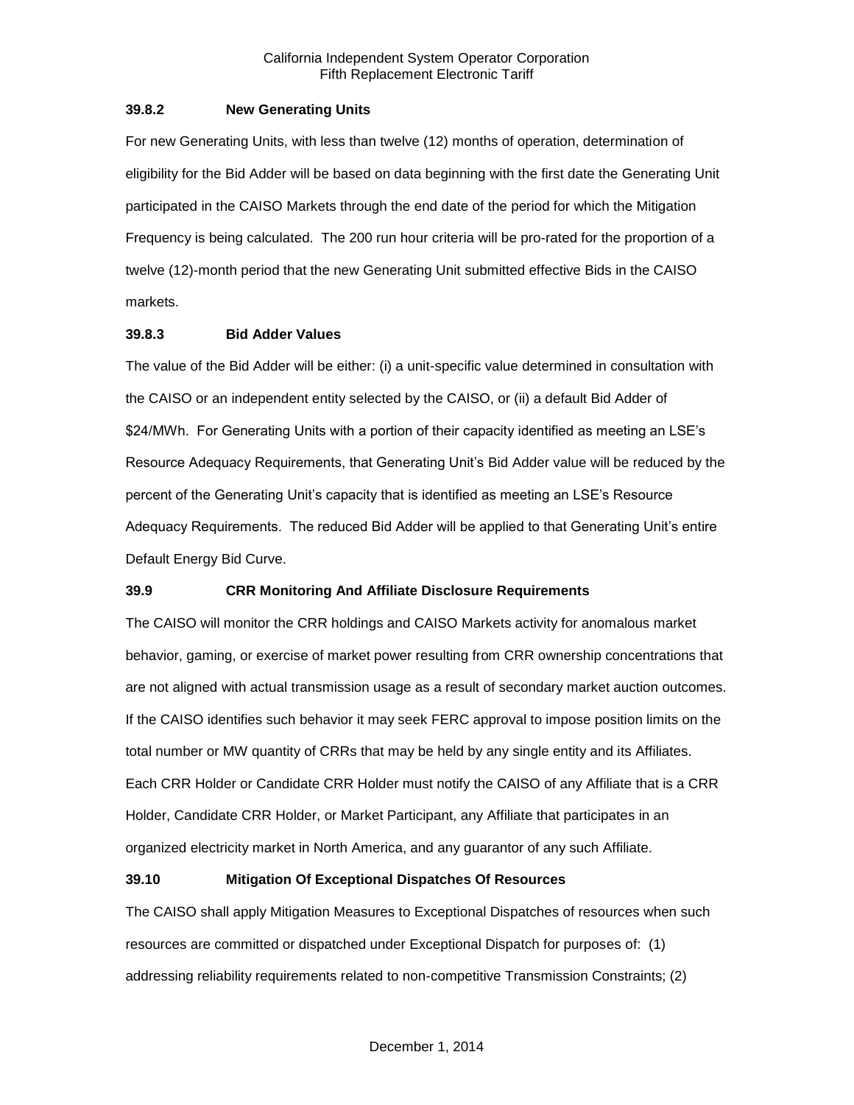# <span id="page-24-0"></span>**39.8.2 New Generating Units**

For new Generating Units, with less than twelve (12) months of operation, determination of eligibility for the Bid Adder will be based on data beginning with the first date the Generating Unit participated in the CAISO Markets through the end date of the period for which the Mitigation Frequency is being calculated. The 200 run hour criteria will be pro-rated for the proportion of a twelve (12)-month period that the new Generating Unit submitted effective Bids in the CAISO markets.

# <span id="page-24-1"></span>**39.8.3 Bid Adder Values**

The value of the Bid Adder will be either: (i) a unit-specific value determined in consultation with the CAISO or an independent entity selected by the CAISO, or (ii) a default Bid Adder of \$24/MWh. For Generating Units with a portion of their capacity identified as meeting an LSE's Resource Adequacy Requirements, that Generating Unit's Bid Adder value will be reduced by the percent of the Generating Unit's capacity that is identified as meeting an LSE's Resource Adequacy Requirements. The reduced Bid Adder will be applied to that Generating Unit's entire Default Energy Bid Curve.

# <span id="page-24-2"></span>**39.9 CRR Monitoring And Affiliate Disclosure Requirements**

The CAISO will monitor the CRR holdings and CAISO Markets activity for anomalous market behavior, gaming, or exercise of market power resulting from CRR ownership concentrations that are not aligned with actual transmission usage as a result of secondary market auction outcomes. If the CAISO identifies such behavior it may seek FERC approval to impose position limits on the total number or MW quantity of CRRs that may be held by any single entity and its Affiliates. Each CRR Holder or Candidate CRR Holder must notify the CAISO of any Affiliate that is a CRR Holder, Candidate CRR Holder, or Market Participant, any Affiliate that participates in an organized electricity market in North America, and any guarantor of any such Affiliate.

# <span id="page-24-3"></span>**39.10 Mitigation Of Exceptional Dispatches Of Resources**

The CAISO shall apply Mitigation Measures to Exceptional Dispatches of resources when such resources are committed or dispatched under Exceptional Dispatch for purposes of: (1) addressing reliability requirements related to non-competitive Transmission Constraints; (2)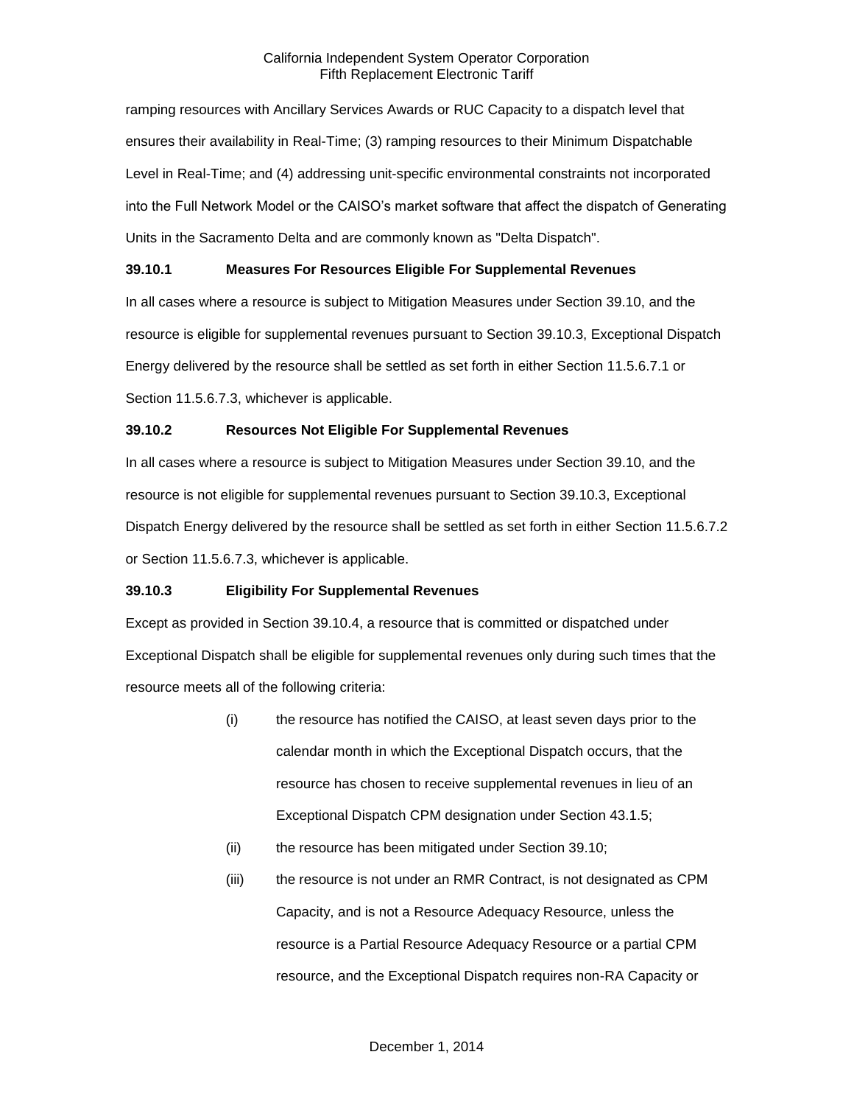ramping resources with Ancillary Services Awards or RUC Capacity to a dispatch level that ensures their availability in Real-Time; (3) ramping resources to their Minimum Dispatchable Level in Real-Time; and (4) addressing unit-specific environmental constraints not incorporated into the Full Network Model or the CAISO's market software that affect the dispatch of Generating Units in the Sacramento Delta and are commonly known as "Delta Dispatch".

# <span id="page-25-0"></span>**39.10.1 Measures For Resources Eligible For Supplemental Revenues**

In all cases where a resource is subject to Mitigation Measures under Section 39.10, and the resource is eligible for supplemental revenues pursuant to Section 39.10.3, Exceptional Dispatch Energy delivered by the resource shall be settled as set forth in either Section 11.5.6.7.1 or Section 11.5.6.7.3, whichever is applicable.

# <span id="page-25-1"></span>**39.10.2 Resources Not Eligible For Supplemental Revenues**

In all cases where a resource is subject to Mitigation Measures under Section 39.10, and the resource is not eligible for supplemental revenues pursuant to Section 39.10.3, Exceptional Dispatch Energy delivered by the resource shall be settled as set forth in either Section 11.5.6.7.2 or Section 11.5.6.7.3, whichever is applicable.

# <span id="page-25-2"></span>**39.10.3 Eligibility For Supplemental Revenues**

Except as provided in Section 39.10.4, a resource that is committed or dispatched under Exceptional Dispatch shall be eligible for supplemental revenues only during such times that the resource meets all of the following criteria:

- (i) the resource has notified the CAISO, at least seven days prior to the calendar month in which the Exceptional Dispatch occurs, that the resource has chosen to receive supplemental revenues in lieu of an Exceptional Dispatch CPM designation under Section 43.1.5;
- (ii) the resource has been mitigated under Section 39.10;
- (iii) the resource is not under an RMR Contract, is not designated as CPM Capacity, and is not a Resource Adequacy Resource, unless the resource is a Partial Resource Adequacy Resource or a partial CPM resource, and the Exceptional Dispatch requires non-RA Capacity or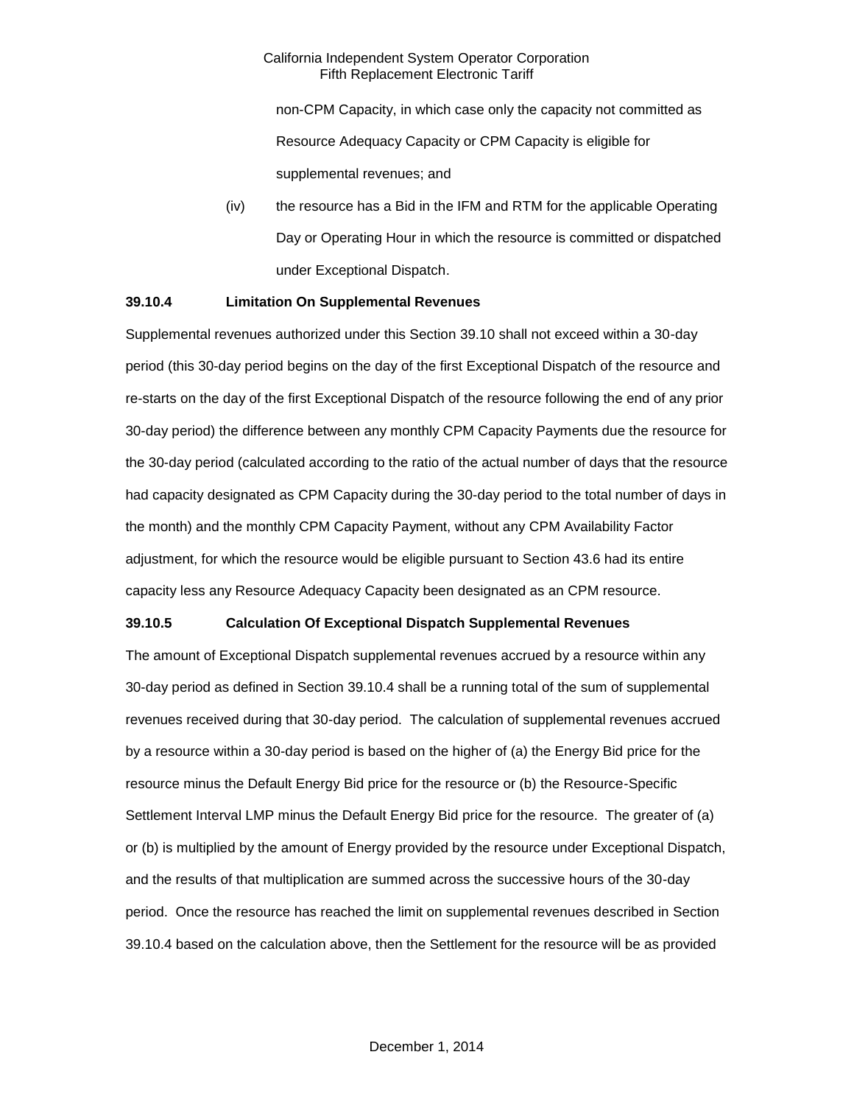non-CPM Capacity, in which case only the capacity not committed as Resource Adequacy Capacity or CPM Capacity is eligible for supplemental revenues; and

(iv) the resource has a Bid in the IFM and RTM for the applicable Operating Day or Operating Hour in which the resource is committed or dispatched under Exceptional Dispatch.

# <span id="page-26-0"></span>**39.10.4 Limitation On Supplemental Revenues**

Supplemental revenues authorized under this Section 39.10 shall not exceed within a 30-day period (this 30-day period begins on the day of the first Exceptional Dispatch of the resource and re-starts on the day of the first Exceptional Dispatch of the resource following the end of any prior 30-day period) the difference between any monthly CPM Capacity Payments due the resource for the 30-day period (calculated according to the ratio of the actual number of days that the resource had capacity designated as CPM Capacity during the 30-day period to the total number of days in the month) and the monthly CPM Capacity Payment, without any CPM Availability Factor adjustment, for which the resource would be eligible pursuant to Section 43.6 had its entire capacity less any Resource Adequacy Capacity been designated as an CPM resource.

# <span id="page-26-1"></span>**39.10.5 Calculation Of Exceptional Dispatch Supplemental Revenues**

The amount of Exceptional Dispatch supplemental revenues accrued by a resource within any 30-day period as defined in Section 39.10.4 shall be a running total of the sum of supplemental revenues received during that 30-day period. The calculation of supplemental revenues accrued by a resource within a 30-day period is based on the higher of (a) the Energy Bid price for the resource minus the Default Energy Bid price for the resource or (b) the Resource-Specific Settlement Interval LMP minus the Default Energy Bid price for the resource. The greater of (a) or (b) is multiplied by the amount of Energy provided by the resource under Exceptional Dispatch, and the results of that multiplication are summed across the successive hours of the 30-day period. Once the resource has reached the limit on supplemental revenues described in Section 39.10.4 based on the calculation above, then the Settlement for the resource will be as provided